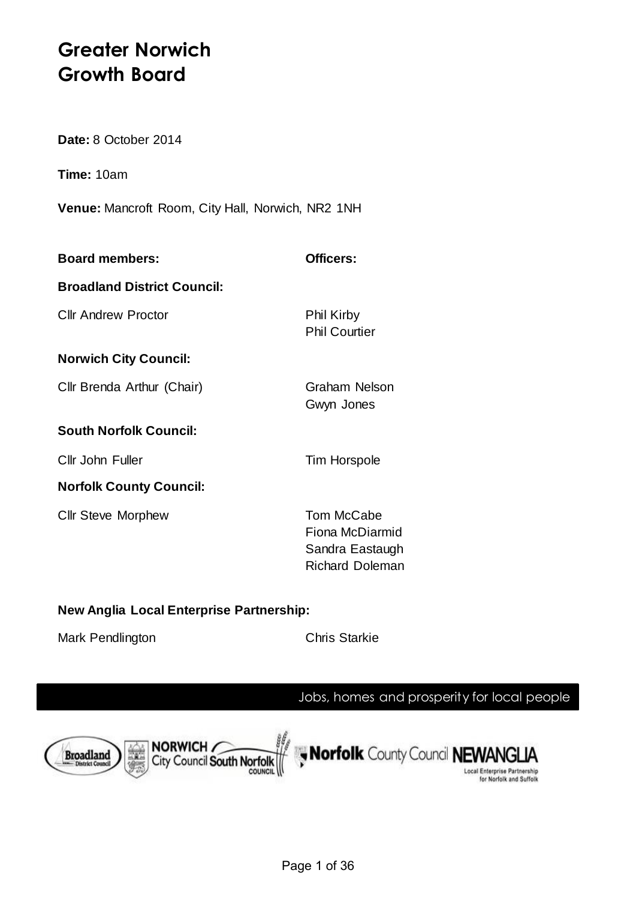# **Greater Norwich Growth Board**

**Date:** 8 October 2014

**Time:** 10am

**Venue:** Mancroft Room, City Hall, Norwich, NR2 1NH

| <b>Board members:</b>              | Officers:                                 |
|------------------------------------|-------------------------------------------|
| <b>Broadland District Council:</b> |                                           |
| <b>Cllr Andrew Proctor</b>         | <b>Phil Kirby</b><br><b>Phil Courtier</b> |
| <b>Norwich City Council:</b>       |                                           |
| Cllr Brenda Arthur (Chair)         | <b>Graham Nelson</b><br>Gwyn Jones        |
| <b>South Norfolk Council:</b>      |                                           |
| Cllr John Fuller                   | Tim Horspole                              |
| <b>Norfolk County Council:</b>     |                                           |
| <b>Cllr Steve Morphew</b>          | Tom McCabe                                |

Fiona McDiarmid Sandra Eastaugh Richard Doleman

# **New Anglia Local Enterprise Partnership:**

Mark Pendlington Chris Starkie

# Jobs, homes and prosperity for local people

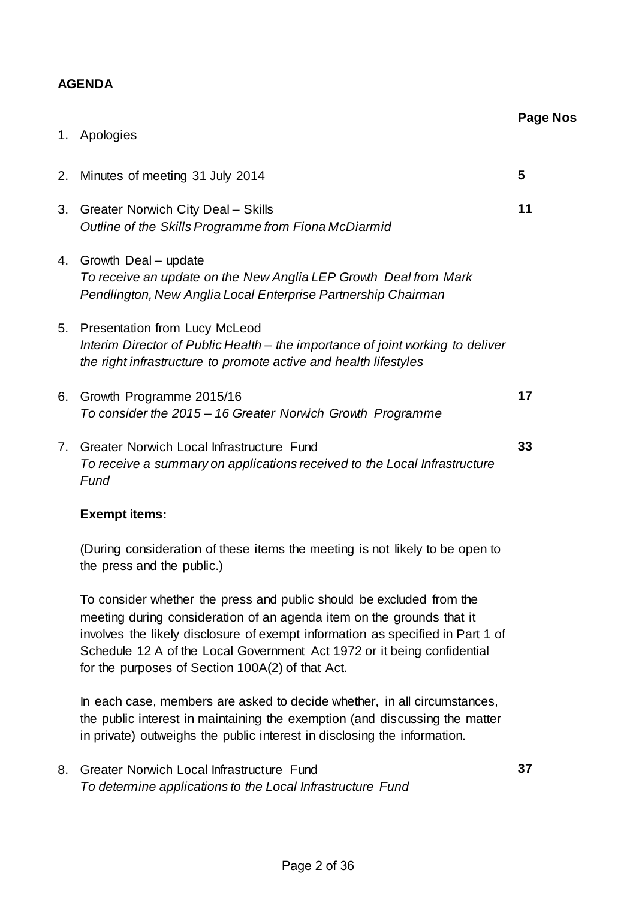## **AGENDA**

|    |                                                                                                                                                                                            | <b>Page Nos</b> |
|----|--------------------------------------------------------------------------------------------------------------------------------------------------------------------------------------------|-----------------|
| 1. | Apologies                                                                                                                                                                                  |                 |
|    | 2. Minutes of meeting 31 July 2014                                                                                                                                                         | 5               |
| 3. | <b>Greater Norwich City Deal - Skills</b><br>Outline of the Skills Programme from Fiona McDiarmid                                                                                          | 11              |
|    | 4. Growth Deal - update<br>To receive an update on the New Anglia LEP Growth Deal from Mark<br>Pendlington, New Anglia Local Enterprise Partnership Chairman                               |                 |
| 5. | <b>Presentation from Lucy McLeod</b><br>Interim Director of Public Health - the importance of joint working to deliver<br>the right infrastructure to promote active and health lifestyles |                 |
| 6. | Growth Programme 2015/16<br>To consider the 2015 - 16 Greater Norwich Growth Programme                                                                                                     | 17              |
| 7. | <b>Greater Norwich Local Infrastructure Fund</b><br>To receive a summary on applications received to the Local Infrastructure<br>Fund                                                      | 33              |
|    | <b>Exempt items:</b>                                                                                                                                                                       |                 |
|    | (During consideration of these items the meeting is not likely to be open to                                                                                                               |                 |

the press and the public.)

To consider whether the press and public should be excluded from the meeting during consideration of an agenda item on the grounds that it involves the likely disclosure of exempt information as specified in Part 1 of Schedule 12 A of the Local Government Act 1972 or it being confidential for the purposes of Section 100A(2) of that Act.

In each case, members are asked to decide whether, in all circumstances, the public interest in maintaining the exemption (and discussing the matter in private) outweighs the public interest in disclosing the information.

8. Greater Norwich Local Infrastructure Fund *To determine applications to the Local Infrastructure Fund*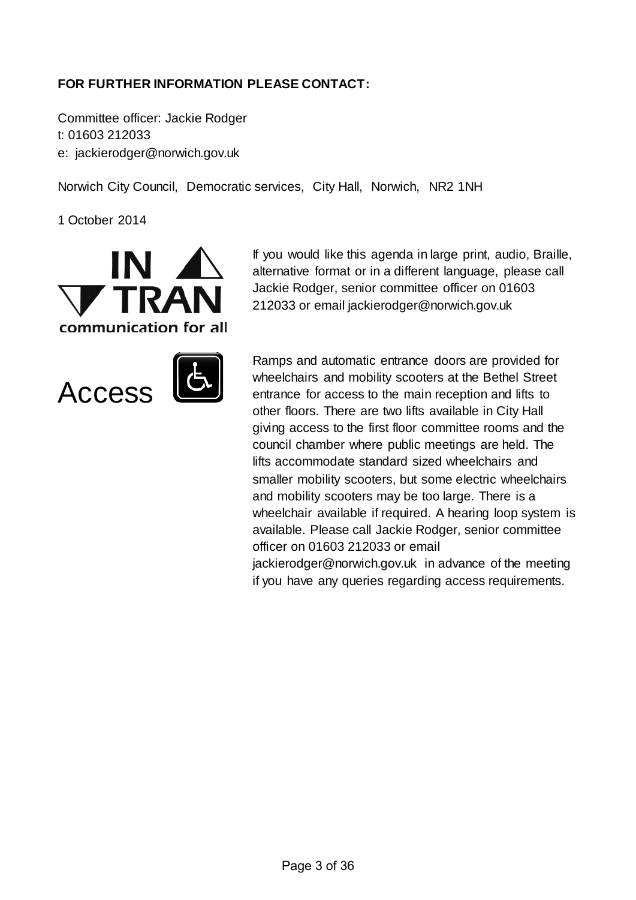# **FOR FURTHER INFORMATION PLEASE CONTACT:**

Committee officer: Jackie Rodger t: 01603 212033 e: jackierodger@norwich.gov.uk

Norwich City Council, Democratic services, City Hall, Norwich, NR2 1NH

1 October 2014





If you would like this agenda in large print, audio, Braille, alternative format or in a different language, please call Jackie Rodger, senior committee officer on 01603 212033 or email jackierodger@norwich.gov.uk

Ramps and automatic entrance doors are provided for wheelchairs and mobility scooters at the Bethel Street entrance for access to the main reception and lifts to other floors. There are two lifts available in City Hall giving access to the first floor committee rooms and the council chamber where public meetings are held. The lifts accommodate standard sized wheelchairs and smaller mobility scooters, but some electric wheelchairs and mobility scooters may be too large. There is a wheelchair available if required. A hearing loop system is available. Please call Jackie Rodger, senior committee officer on 01603 212033 or email jackierodger@norwich.gov.uk in advance of the meeting if you have any queries regarding access requirements.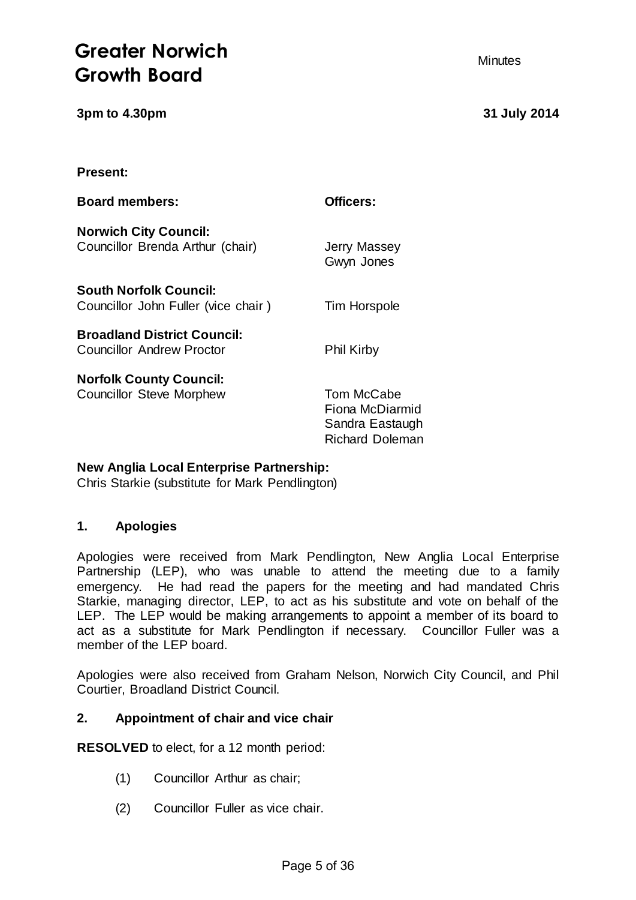# **Greater Norwich**  Minutes **Growth Board**

**3pm to 4.30pm 31 July 2014**

**Present:**

| <b>Board members:</b>                                                  | Officers:                                                                  |
|------------------------------------------------------------------------|----------------------------------------------------------------------------|
| <b>Norwich City Council:</b><br>Councillor Brenda Arthur (chair)       | <b>Jerry Massey</b><br>Gwyn Jones                                          |
| <b>South Norfolk Council:</b><br>Councillor John Fuller (vice chair)   | Tim Horspole                                                               |
| <b>Broadland District Council:</b><br><b>Councillor Andrew Proctor</b> | <b>Phil Kirby</b>                                                          |
| <b>Norfolk County Council:</b><br><b>Councillor Steve Morphew</b>      | Tom McCabe<br>Fiona McDiarmid<br>Sandra Eastaugh<br><b>Richard Doleman</b> |

# **New Anglia Local Enterprise Partnership:**

Chris Starkie (substitute for Mark Pendlington)

#### **1. Apologies**

Apologies were received from Mark Pendlington, New Anglia Local Enterprise Partnership (LEP), who was unable to attend the meeting due to a family emergency. He had read the papers for the meeting and had mandated Chris Starkie, managing director, LEP, to act as his substitute and vote on behalf of the LEP. The LEP would be making arrangements to appoint a member of its board to act as a substitute for Mark Pendlington if necessary. Councillor Fuller was a member of the LEP board.

Apologies were also received from Graham Nelson, Norwich City Council, and Phil Courtier, Broadland District Council.

#### **2. Appointment of chair and vice chair**

**RESOLVED** to elect, for a 12 month period:

- (1) Councillor Arthur as chair;
- (2) Councillor Fuller as vice chair.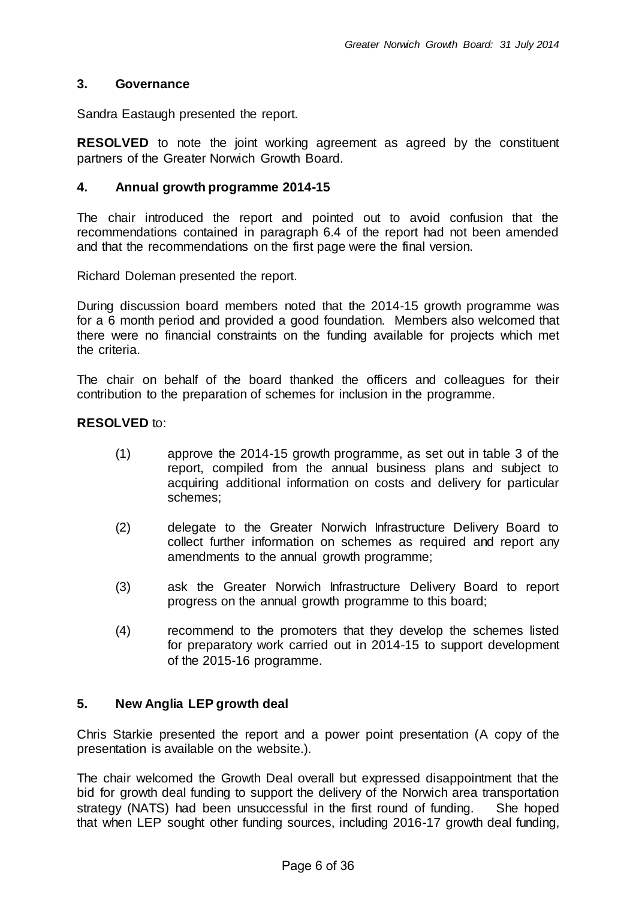#### **3. Governance**

Sandra Eastaugh presented the report.

**RESOLVED** to note the joint working agreement as agreed by the constituent partners of the Greater Norwich Growth Board.

#### **4. Annual growth programme 2014-15**

The chair introduced the report and pointed out to avoid confusion that the recommendations contained in paragraph 6.4 of the report had not been amended and that the recommendations on the first page were the final version.

Richard Doleman presented the report.

During discussion board members noted that the 2014-15 growth programme was for a 6 month period and provided a good foundation. Members also welcomed that there were no financial constraints on the funding available for projects which met the criteria.

The chair on behalf of the board thanked the officers and colleagues for their contribution to the preparation of schemes for inclusion in the programme.

#### **RESOLVED** to:

- (1) approve the 2014-15 growth programme, as set out in table 3 of the report, compiled from the annual business plans and subject to acquiring additional information on costs and delivery for particular schemes;
- (2) delegate to the Greater Norwich Infrastructure Delivery Board to collect further information on schemes as required and report any amendments to the annual growth programme;
- (3) ask the Greater Norwich Infrastructure Delivery Board to report progress on the annual growth programme to this board;
- (4) recommend to the promoters that they develop the schemes listed for preparatory work carried out in 2014-15 to support development of the 2015-16 programme.

#### **5. New Anglia LEP growth deal**

Chris Starkie presented the report and a power point presentation (A copy of the presentation is available on the website.).

The chair welcomed the Growth Deal overall but expressed disappointment that the bid for growth deal funding to support the delivery of the Norwich area transportation strategy (NATS) had been unsuccessful in the first round of funding. She hoped that when LEP sought other funding sources, including 2016-17 growth deal funding,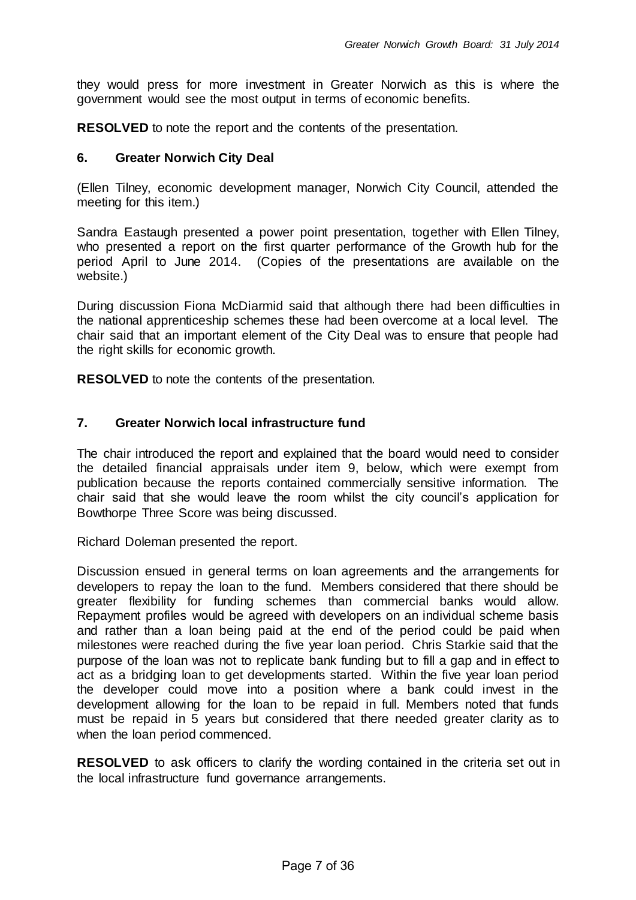they would press for more investment in Greater Norwich as this is where the government would see the most output in terms of economic benefits.

**RESOLVED** to note the report and the contents of the presentation.

#### **6. Greater Norwich City Deal**

(Ellen Tilney, economic development manager, Norwich City Council, attended the meeting for this item.)

Sandra Eastaugh presented a power point presentation, together with Ellen Tilney, who presented a report on the first quarter performance of the Growth hub for the period April to June 2014. (Copies of the presentations are available on the website.)

During discussion Fiona McDiarmid said that although there had been difficulties in the national apprenticeship schemes these had been overcome at a local level. The chair said that an important element of the City Deal was to ensure that people had the right skills for economic growth.

**RESOLVED** to note the contents of the presentation.

#### **7. Greater Norwich local infrastructure fund**

The chair introduced the report and explained that the board would need to consider the detailed financial appraisals under item 9, below, which were exempt from publication because the reports contained commercially sensitive information. The chair said that she would leave the room whilst the city council's application for Bowthorpe Three Score was being discussed.

Richard Doleman presented the report.

Discussion ensued in general terms on loan agreements and the arrangements for developers to repay the loan to the fund. Members considered that there should be greater flexibility for funding schemes than commercial banks would allow. Repayment profiles would be agreed with developers on an individual scheme basis and rather than a loan being paid at the end of the period could be paid when milestones were reached during the five year loan period. Chris Starkie said that the purpose of the loan was not to replicate bank funding but to fill a gap and in effect to act as a bridging loan to get developments started. Within the five year loan period the developer could move into a position where a bank could invest in the development allowing for the loan to be repaid in full. Members noted that funds must be repaid in 5 years but considered that there needed greater clarity as to when the loan period commenced.

**RESOLVED** to ask officers to clarify the wording contained in the criteria set out in the local infrastructure fund governance arrangements.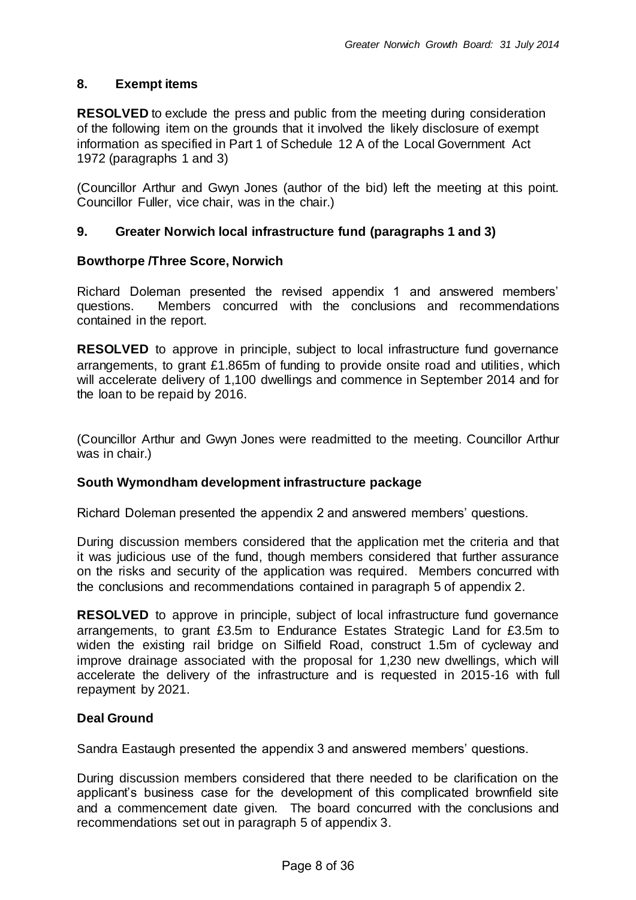#### **8. Exempt items**

**RESOLVED** to exclude the press and public from the meeting during consideration of the following item on the grounds that it involved the likely disclosure of exempt information as specified in Part 1 of Schedule 12 A of the Local Government Act 1972 (paragraphs 1 and 3)

(Councillor Arthur and Gwyn Jones (author of the bid) left the meeting at this point. Councillor Fuller, vice chair, was in the chair.)

#### **9. Greater Norwich local infrastructure fund (paragraphs 1 and 3)**

#### **Bowthorpe /Three Score, Norwich**

Richard Doleman presented the revised appendix 1 and answered members' questions. Members concurred with the conclusions and recommendations contained in the report.

**RESOLVED** to approve in principle, subject to local infrastructure fund governance arrangements, to grant £1.865m of funding to provide onsite road and utilities, which will accelerate delivery of 1,100 dwellings and commence in September 2014 and for the loan to be repaid by 2016.

(Councillor Arthur and Gwyn Jones were readmitted to the meeting. Councillor Arthur was in chair.)

#### **South Wymondham development infrastructure package**

Richard Doleman presented the appendix 2 and answered members' questions.

During discussion members considered that the application met the criteria and that it was judicious use of the fund, though members considered that further assurance on the risks and security of the application was required. Members concurred with the conclusions and recommendations contained in paragraph 5 of appendix 2.

**RESOLVED** to approve in principle, subject of local infrastructure fund governance arrangements, to grant £3.5m to Endurance Estates Strategic Land for £3.5m to widen the existing rail bridge on Silfield Road, construct 1.5m of cycleway and improve drainage associated with the proposal for 1,230 new dwellings, which will accelerate the delivery of the infrastructure and is requested in 2015-16 with full repayment by 2021.

#### **Deal Ground**

Sandra Eastaugh presented the appendix 3 and answered members' questions.

During discussion members considered that there needed to be clarification on the applicant's business case for the development of this complicated brownfield site and a commencement date given. The board concurred with the conclusions and recommendations set out in paragraph 5 of appendix 3.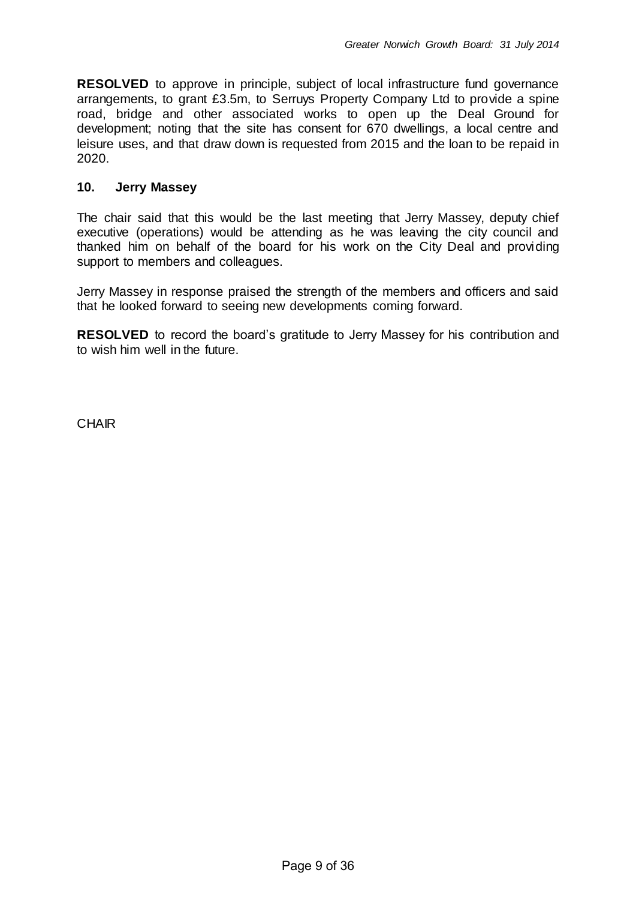**RESOLVED** to approve in principle, subject of local infrastructure fund governance arrangements, to grant £3.5m, to Serruys Property Company Ltd to provide a spine road, bridge and other associated works to open up the Deal Ground for development; noting that the site has consent for 670 dwellings, a local centre and leisure uses, and that draw down is requested from 2015 and the loan to be repaid in 2020.

#### **10. Jerry Massey**

The chair said that this would be the last meeting that Jerry Massey, deputy chief executive (operations) would be attending as he was leaving the city council and thanked him on behalf of the board for his work on the City Deal and providing support to members and colleagues.

Jerry Massey in response praised the strength of the members and officers and said that he looked forward to seeing new developments coming forward.

**RESOLVED** to record the board's gratitude to Jerry Massey for his contribution and to wish him well in the future.

**CHAIR**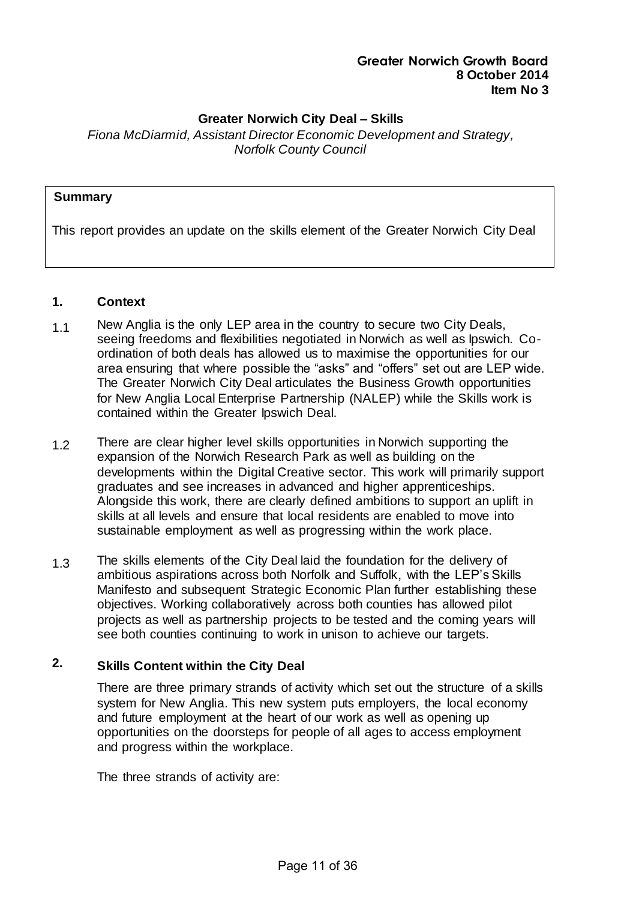#### **Greater Norwich City Deal – Skills**

*Fiona McDiarmid, Assistant Director Economic Development and Strategy, Norfolk County Council*

#### **Summary**

This report provides an update on the skills element of the Greater Norwich City Deal

#### **1. Context**

- 1.1 New Anglia is the only LEP area in the country to secure two City Deals, seeing freedoms and flexibilities negotiated in Norwich as well as Ipswich. Coordination of both deals has allowed us to maximise the opportunities for our area ensuring that where possible the "asks" and "offers" set out are LEP wide. The Greater Norwich City Deal articulates the Business Growth opportunities for New Anglia Local Enterprise Partnership (NALEP) while the Skills work is contained within the Greater Ipswich Deal.
- 1.2 There are clear higher level skills opportunities in Norwich supporting the expansion of the Norwich Research Park as well as building on the developments within the Digital Creative sector. This work will primarily support graduates and see increases in advanced and higher apprenticeships. Alongside this work, there are clearly defined ambitions to support an uplift in skills at all levels and ensure that local residents are enabled to move into sustainable employment as well as progressing within the work place.
- 1.3 The skills elements of the City Deal laid the foundation for the delivery of ambitious aspirations across both Norfolk and Suffolk, with the LEP's Skills Manifesto and subsequent Strategic Economic Plan further establishing these objectives. Working collaboratively across both counties has allowed pilot projects as well as partnership projects to be tested and the coming years will see both counties continuing to work in unison to achieve our targets.

# **2. Skills Content within the City Deal**

There are three primary strands of activity which set out the structure of a skills system for New Anglia. This new system puts employers, the local economy and future employment at the heart of our work as well as opening up opportunities on the doorsteps for people of all ages to access employment and progress within the workplace.

The three strands of activity are: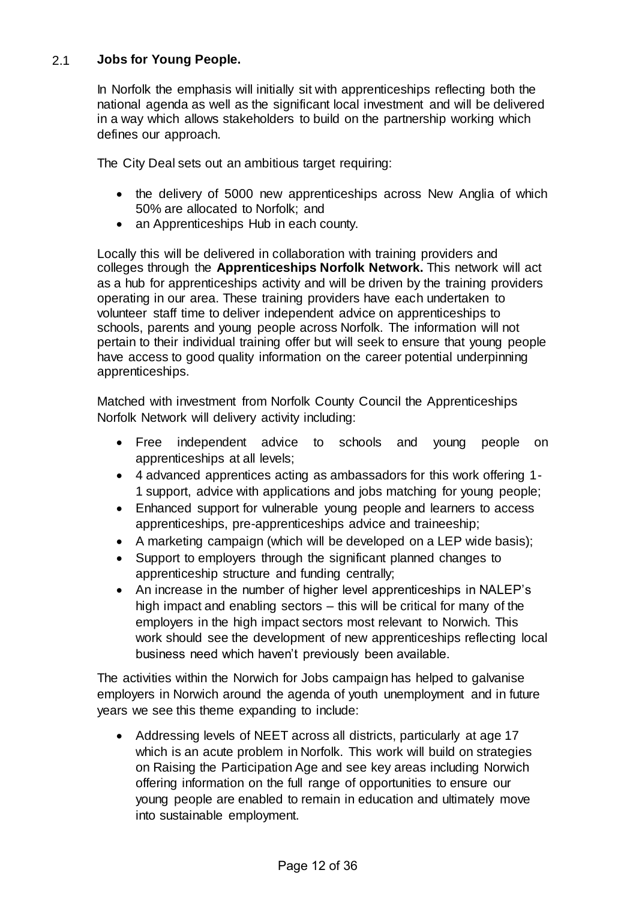# 2.1 **Jobs for Young People.**

In Norfolk the emphasis will initially sit with apprenticeships reflecting both the national agenda as well as the significant local investment and will be delivered in a way which allows stakeholders to build on the partnership working which defines our approach.

The City Deal sets out an ambitious target requiring:

- the delivery of 5000 new apprenticeships across New Anglia of which 50% are allocated to Norfolk; and
- an Apprenticeships Hub in each county.

Locally this will be delivered in collaboration with training providers and colleges through the **Apprenticeships Norfolk Network.** This network will act as a hub for apprenticeships activity and will be driven by the training providers operating in our area. These training providers have each undertaken to volunteer staff time to deliver independent advice on apprenticeships to schools, parents and young people across Norfolk. The information will not pertain to their individual training offer but will seek to ensure that young people have access to good quality information on the career potential underpinning apprenticeships.

Matched with investment from Norfolk County Council the Apprenticeships Norfolk Network will delivery activity including:

- Free independent advice to schools and young people on apprenticeships at all levels;
- 4 advanced apprentices acting as ambassadors for this work offering 1- 1 support, advice with applications and jobs matching for young people;
- Enhanced support for vulnerable young people and learners to access apprenticeships, pre-apprenticeships advice and traineeship;
- A marketing campaign (which will be developed on a LEP wide basis);
- Support to employers through the significant planned changes to apprenticeship structure and funding centrally;
- An increase in the number of higher level apprenticeships in NALEP's high impact and enabling sectors – this will be critical for many of the employers in the high impact sectors most relevant to Norwich. This work should see the development of new apprenticeships reflecting local business need which haven't previously been available.

The activities within the Norwich for Jobs campaign has helped to galvanise employers in Norwich around the agenda of youth unemployment and in future years we see this theme expanding to include:

 Addressing levels of NEET across all districts, particularly at age 17 which is an acute problem in Norfolk. This work will build on strategies on Raising the Participation Age and see key areas including Norwich offering information on the full range of opportunities to ensure our young people are enabled to remain in education and ultimately move into sustainable employment.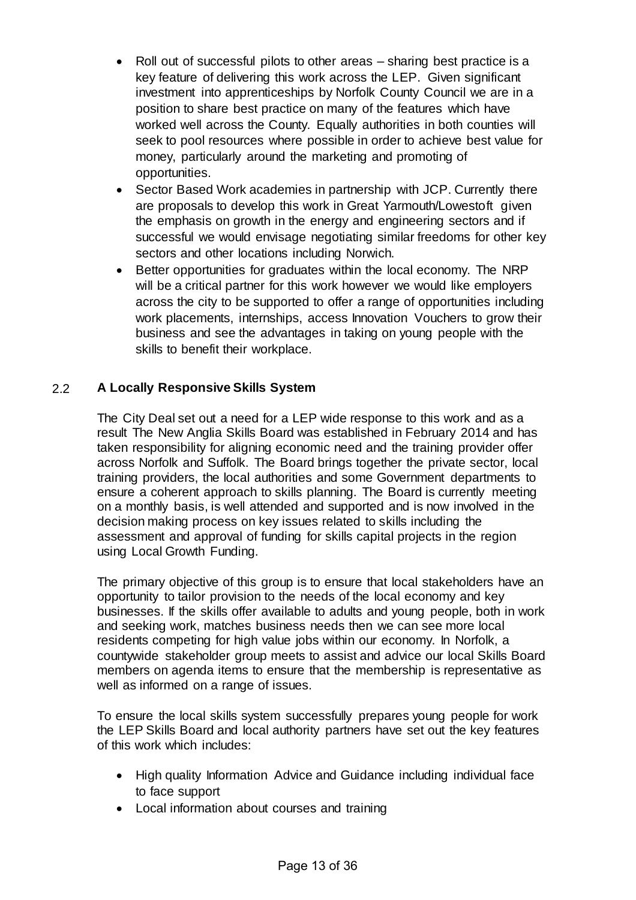- Roll out of successful pilots to other areas sharing best practice is a key feature of delivering this work across the LEP. Given significant investment into apprenticeships by Norfolk County Council we are in a position to share best practice on many of the features which have worked well across the County. Equally authorities in both counties will seek to pool resources where possible in order to achieve best value for money, particularly around the marketing and promoting of opportunities.
- Sector Based Work academies in partnership with JCP. Currently there are proposals to develop this work in Great Yarmouth/Lowestoft given the emphasis on growth in the energy and engineering sectors and if successful we would envisage negotiating similar freedoms for other key sectors and other locations including Norwich.
- Better opportunities for graduates within the local economy. The NRP will be a critical partner for this work however we would like employers across the city to be supported to offer a range of opportunities including work placements, internships, access Innovation Vouchers to grow their business and see the advantages in taking on young people with the skills to benefit their workplace.

# 2.2 **A Locally Responsive Skills System**

The City Deal set out a need for a LEP wide response to this work and as a result The New Anglia Skills Board was established in February 2014 and has taken responsibility for aligning economic need and the training provider offer across Norfolk and Suffolk. The Board brings together the private sector, local training providers, the local authorities and some Government departments to ensure a coherent approach to skills planning. The Board is currently meeting on a monthly basis, is well attended and supported and is now involved in the decision making process on key issues related to skills including the assessment and approval of funding for skills capital projects in the region using Local Growth Funding.

The primary objective of this group is to ensure that local stakeholders have an opportunity to tailor provision to the needs of the local economy and key businesses. If the skills offer available to adults and young people, both in work and seeking work, matches business needs then we can see more local residents competing for high value jobs within our economy. In Norfolk, a countywide stakeholder group meets to assist and advice our local Skills Board members on agenda items to ensure that the membership is representative as well as informed on a range of issues.

To ensure the local skills system successfully prepares young people for work the LEP Skills Board and local authority partners have set out the key features of this work which includes:

- High quality Information Advice and Guidance including individual face to face support
- Local information about courses and training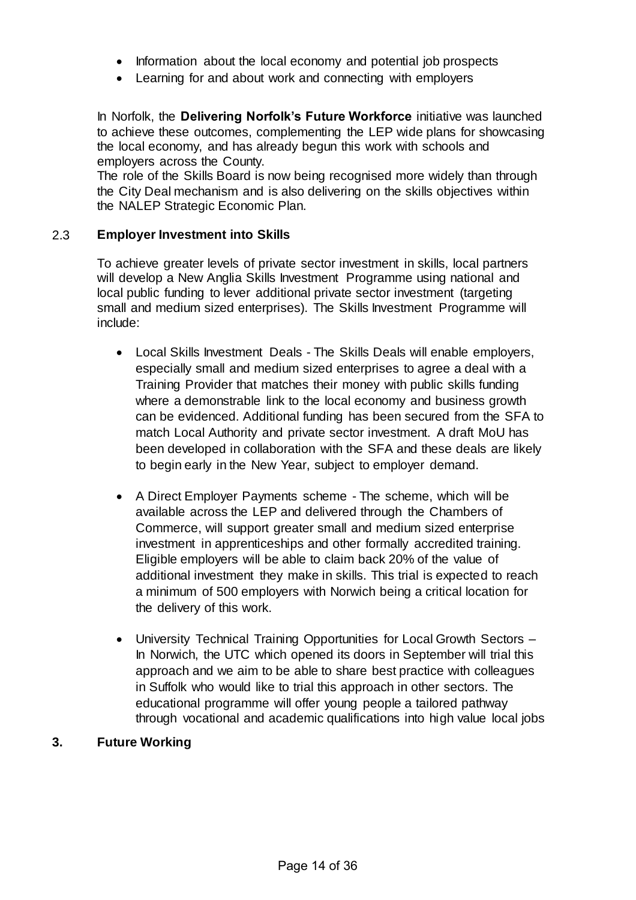- Information about the local economy and potential job prospects
- Learning for and about work and connecting with employers

In Norfolk, the **Delivering Norfolk's Future Workforce** initiative was launched to achieve these outcomes, complementing the LEP wide plans for showcasing the local economy, and has already begun this work with schools and employers across the County.

The role of the Skills Board is now being recognised more widely than through the City Deal mechanism and is also delivering on the skills objectives within the NALEP Strategic Economic Plan.

#### 2.3 **Employer Investment into Skills**

To achieve greater levels of private sector investment in skills, local partners will develop a New Anglia Skills Investment Programme using national and local public funding to lever additional private sector investment (targeting small and medium sized enterprises). The Skills Investment Programme will include:

- Local Skills Investment Deals The Skills Deals will enable employers, especially small and medium sized enterprises to agree a deal with a Training Provider that matches their money with public skills funding where a demonstrable link to the local economy and business growth can be evidenced. Additional funding has been secured from the SFA to match Local Authority and private sector investment. A draft MoU has been developed in collaboration with the SFA and these deals are likely to begin early in the New Year, subject to employer demand.
- A Direct Employer Payments scheme The scheme, which will be available across the LEP and delivered through the Chambers of Commerce, will support greater small and medium sized enterprise investment in apprenticeships and other formally accredited training. Eligible employers will be able to claim back 20% of the value of additional investment they make in skills. This trial is expected to reach a minimum of 500 employers with Norwich being a critical location for the delivery of this work.
- University Technical Training Opportunities for Local Growth Sectors In Norwich, the UTC which opened its doors in September will trial this approach and we aim to be able to share best practice with colleagues in Suffolk who would like to trial this approach in other sectors. The educational programme will offer young people a tailored pathway through vocational and academic qualifications into high value local jobs

#### **3. Future Working**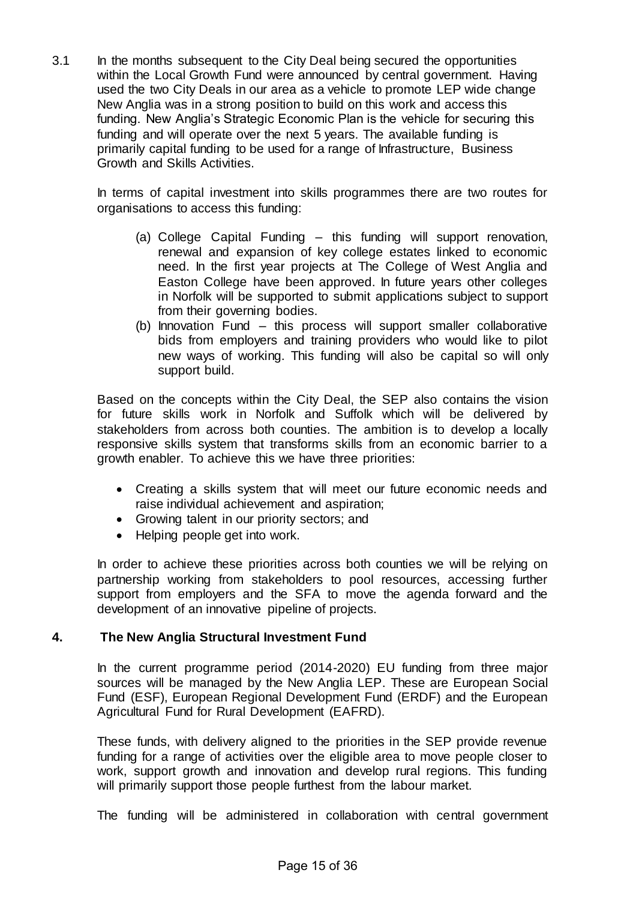3.1 In the months subsequent to the City Deal being secured the opportunities within the Local Growth Fund were announced by central government. Having used the two City Deals in our area as a vehicle to promote LEP wide change New Anglia was in a strong position to build on this work and access this funding. New Anglia's Strategic Economic Plan is the vehicle for securing this funding and will operate over the next 5 years. The available funding is primarily capital funding to be used for a range of Infrastructure, Business Growth and Skills Activities.

In terms of capital investment into skills programmes there are two routes for organisations to access this funding:

- (a) College Capital Funding this funding will support renovation, renewal and expansion of key college estates linked to economic need. In the first year projects at The College of West Anglia and Easton College have been approved. In future years other colleges in Norfolk will be supported to submit applications subject to support from their governing bodies.
- (b) Innovation Fund this process will support smaller collaborative bids from employers and training providers who would like to pilot new ways of working. This funding will also be capital so will only support build.

Based on the concepts within the City Deal, the SEP also contains the vision for future skills work in Norfolk and Suffolk which will be delivered by stakeholders from across both counties. The ambition is to develop a locally responsive skills system that transforms skills from an economic barrier to a growth enabler. To achieve this we have three priorities:

- Creating a skills system that will meet our future economic needs and raise individual achievement and aspiration;
- Growing talent in our priority sectors; and
- Helping people get into work.

In order to achieve these priorities across both counties we will be relying on partnership working from stakeholders to pool resources, accessing further support from employers and the SFA to move the agenda forward and the development of an innovative pipeline of projects.

# **4. The New Anglia Structural Investment Fund**

In the current programme period (2014-2020) EU funding from three major sources will be managed by the New Anglia LEP. These are European Social Fund (ESF), European Regional Development Fund (ERDF) and the European Agricultural Fund for Rural Development (EAFRD).

These funds, with delivery aligned to the priorities in the SEP provide revenue funding for a range of activities over the eligible area to move people closer to work, support growth and innovation and develop rural regions. This funding will primarily support those people furthest from the labour market.

The funding will be administered in collaboration with central government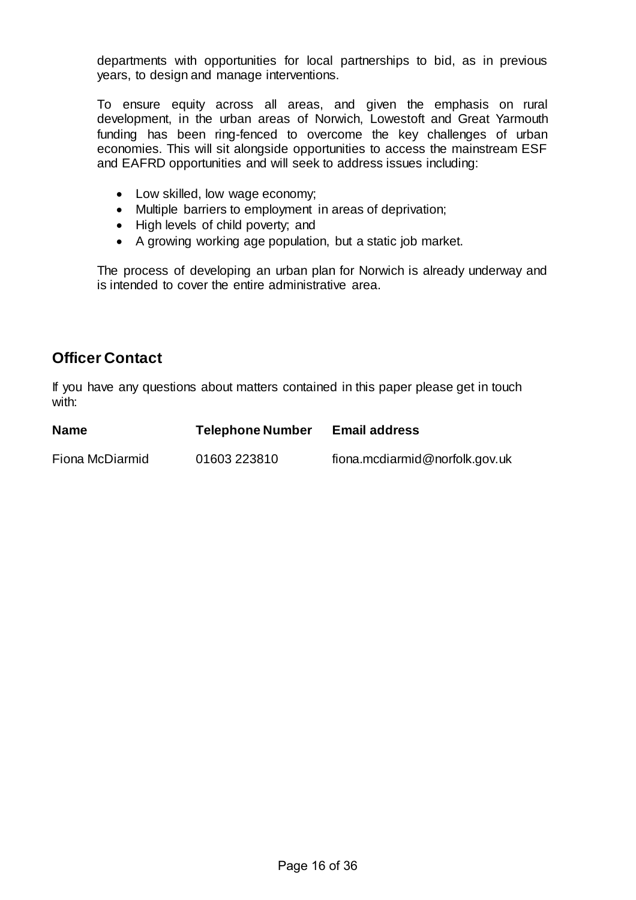departments with opportunities for local partnerships to bid, as in previous years, to design and manage interventions.

To ensure equity across all areas, and given the emphasis on rural development, in the urban areas of Norwich, Lowestoft and Great Yarmouth funding has been ring-fenced to overcome the key challenges of urban economies. This will sit alongside opportunities to access the mainstream ESF and EAFRD opportunities and will seek to address issues including:

- Low skilled, low wage economy;
- Multiple barriers to employment in areas of deprivation;
- High levels of child poverty; and
- A growing working age population, but a static job market.

The process of developing an urban plan for Norwich is already underway and is intended to cover the entire administrative area.

# **Officer Contact**

If you have any questions about matters contained in this paper please get in touch with:

| <b>Name</b>     | <b>Telephone Number</b> | <b>Email address</b>           |
|-----------------|-------------------------|--------------------------------|
| Fiona McDiarmid | 01603 223810            | fiona.mcdiarmid@norfolk.gov.uk |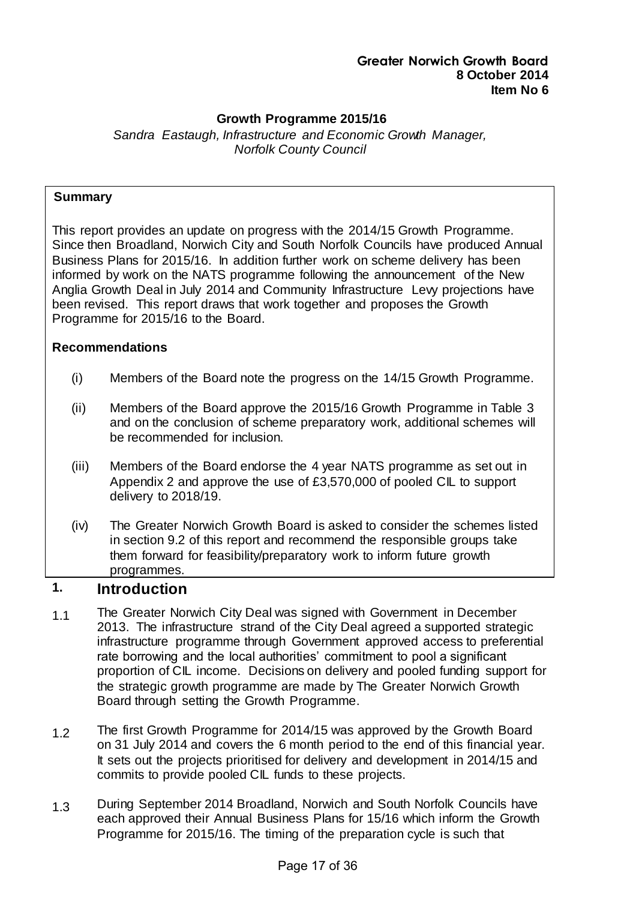## **Growth Programme 2015/16**

*Sandra Eastaugh, Infrastructure and Economic Growth Manager, Norfolk County Council*

#### **Summary**

This report provides an update on progress with the 2014/15 Growth Programme. Since then Broadland, Norwich City and South Norfolk Councils have produced Annual Business Plans for 2015/16. In addition further work on scheme delivery has been informed by work on the NATS programme following the announcement of the New Anglia Growth Deal in July 2014 and Community Infrastructure Levy projections have been revised. This report draws that work together and proposes the Growth Programme for 2015/16 to the Board.

#### **Recommendations**

- (i) Members of the Board note the progress on the 14/15 Growth Programme.
- (ii) Members of the Board approve the 2015/16 Growth Programme in Table 3 and on the conclusion of scheme preparatory work, additional schemes will be recommended for inclusion.
- (iii) Members of the Board endorse the 4 year NATS programme as set out in Appendix 2 and approve the use of £3,570,000 of pooled CIL to support delivery to 2018/19.
- (iv) The Greater Norwich Growth Board is asked to consider the schemes listed in section 9.2 of this report and recommend the responsible groups take them forward for feasibility/preparatory work to inform future growth programmes.

# **1. Introduction**

- 1.1 The Greater Norwich City Deal was signed with Government in December 2013. The infrastructure strand of the City Deal agreed a supported strategic infrastructure programme through Government approved access to preferential rate borrowing and the local authorities' commitment to pool a significant proportion of CIL income. Decisions on delivery and pooled funding support for the strategic growth programme are made by The Greater Norwich Growth Board through setting the Growth Programme.
- 1.2 The first Growth Programme for 2014/15 was approved by the Growth Board on 31 July 2014 and covers the 6 month period to the end of this financial year. It sets out the projects prioritised for delivery and development in 2014/15 and commits to provide pooled CIL funds to these projects.
- 1.3 During September 2014 Broadland, Norwich and South Norfolk Councils have each approved their Annual Business Plans for 15/16 which inform the Growth Programme for 2015/16. The timing of the preparation cycle is such that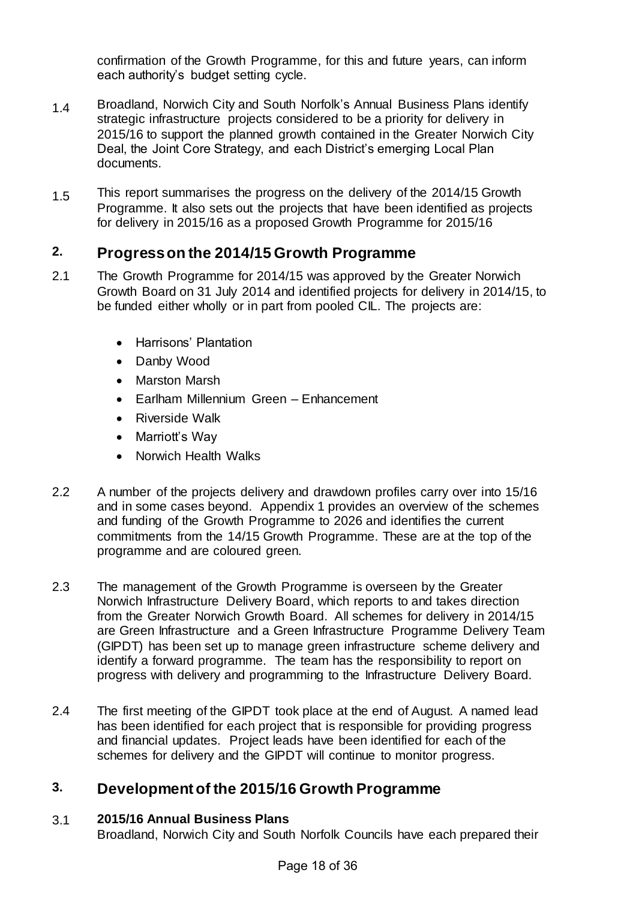confirmation of the Growth Programme, for this and future years, can inform each authority's budget setting cycle.

- 1.4 Broadland, Norwich City and South Norfolk's Annual Business Plans identify strategic infrastructure projects considered to be a priority for delivery in 2015/16 to support the planned growth contained in the Greater Norwich City Deal, the Joint Core Strategy, and each District's emerging Local Plan documents.
- 1.5 This report summarises the progress on the delivery of the 2014/15 Growth Programme. It also sets out the projects that have been identified as projects for delivery in 2015/16 as a proposed Growth Programme for 2015/16

# **2. Progress on the 2014/15 Growth Programme**

- 2.1 The Growth Programme for 2014/15 was approved by the Greater Norwich Growth Board on 31 July 2014 and identified projects for delivery in 2014/15, to be funded either wholly or in part from pooled CIL. The projects are:
	- Harrisons' Plantation
	- Danby Wood
	- Marston Marsh
	- Earlham Millennium Green Enhancement
	- Riverside Walk
	- Marriott's Way
	- Norwich Health Walks
- 2.2 A number of the projects delivery and drawdown profiles carry over into 15/16 and in some cases beyond. Appendix 1 provides an overview of the schemes and funding of the Growth Programme to 2026 and identifies the current commitments from the 14/15 Growth Programme. These are at the top of the programme and are coloured green.
- 2.3 The management of the Growth Programme is overseen by the Greater Norwich Infrastructure Delivery Board, which reports to and takes direction from the Greater Norwich Growth Board. All schemes for delivery in 2014/15 are Green Infrastructure and a Green Infrastructure Programme Delivery Team (GIPDT) has been set up to manage green infrastructure scheme delivery and identify a forward programme. The team has the responsibility to report on progress with delivery and programming to the Infrastructure Delivery Board.
- 2.4 The first meeting of the GIPDT took place at the end of August. A named lead has been identified for each project that is responsible for providing progress and financial updates. Project leads have been identified for each of the schemes for delivery and the GIPDT will continue to monitor progress.

# **3. Development of the 2015/16 Growth Programme**

# 3.1 **2015/16 Annual Business Plans**

Broadland, Norwich City and South Norfolk Councils have each prepared their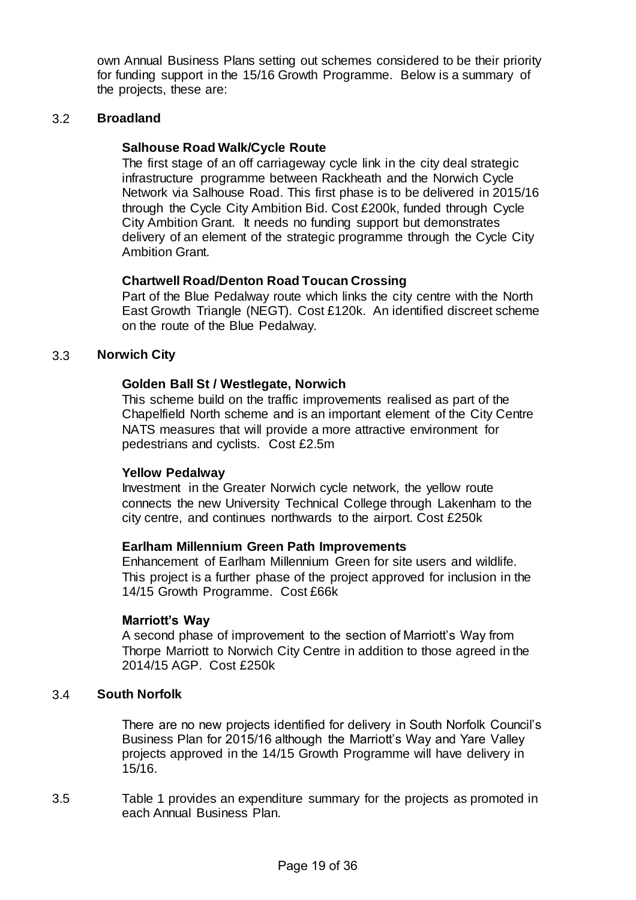own Annual Business Plans setting out schemes considered to be their priority for funding support in the 15/16 Growth Programme. Below is a summary of the projects, these are:

#### 3.2 **Broadland**

#### **Salhouse Road Walk/Cycle Route**

The first stage of an off carriageway cycle link in the city deal strategic infrastructure programme between Rackheath and the Norwich Cycle Network via Salhouse Road. This first phase is to be delivered in 2015/16 through the Cycle City Ambition Bid. Cost £200k, funded through Cycle City Ambition Grant. It needs no funding support but demonstrates delivery of an element of the strategic programme through the Cycle City Ambition Grant.

#### **Chartwell Road/Denton Road Toucan Crossing**

Part of the Blue Pedalway route which links the city centre with the North East Growth Triangle (NEGT). Cost £120k. An identified discreet scheme on the route of the Blue Pedalway.

#### 3.3 **Norwich City**

#### **Golden Ball St / Westlegate, Norwich**

This scheme build on the traffic improvements realised as part of the Chapelfield North scheme and is an important element of the City Centre NATS measures that will provide a more attractive environment for pedestrians and cyclists. Cost £2.5m

#### **Yellow Pedalway**

Investment in the Greater Norwich cycle network, the yellow route connects the new University Technical College through Lakenham to the city centre, and continues northwards to the airport. Cost £250k

#### **Earlham Millennium Green Path Improvements**

Enhancement of Earlham Millennium Green for site users and wildlife. This project is a further phase of the project approved for inclusion in the 14/15 Growth Programme. Cost £66k

#### **Marriott's Way**

A second phase of improvement to the section of Marriott's Way from Thorpe Marriott to Norwich City Centre in addition to those agreed in the 2014/15 AGP. Cost £250k

#### 3.4 **South Norfolk**

There are no new projects identified for delivery in South Norfolk Council's Business Plan for 2015/16 although the Marriott's Way and Yare Valley projects approved in the 14/15 Growth Programme will have delivery in 15/16.

3.5 Table 1 provides an expenditure summary for the projects as promoted in each Annual Business Plan.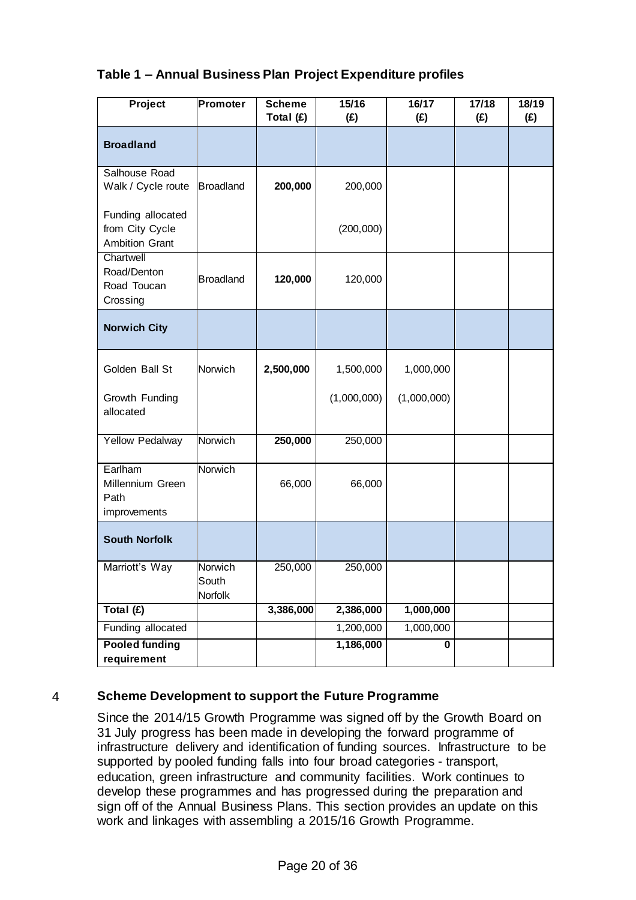| Table 1 – Annual Business Plan Project Expenditure profiles |  |
|-------------------------------------------------------------|--|
|-------------------------------------------------------------|--|

| Project                                                       | Promoter                    | <b>Scheme</b><br>Total (£) | 15/16<br>(E) | $16/17$<br>(E) | 17/18<br>(E) | 18/19<br>(E) |
|---------------------------------------------------------------|-----------------------------|----------------------------|--------------|----------------|--------------|--------------|
| <b>Broadland</b>                                              |                             |                            |              |                |              |              |
| Salhouse Road<br>Walk / Cycle route                           | <b>Broadland</b>            | 200,000                    | 200,000      |                |              |              |
| Funding allocated<br>from City Cycle<br><b>Ambition Grant</b> |                             |                            | (200,000)    |                |              |              |
| Chartwell<br>Road/Denton<br>Road Toucan<br>Crossing           | <b>Broadland</b>            | 120,000                    | 120,000      |                |              |              |
| <b>Norwich City</b>                                           |                             |                            |              |                |              |              |
| Golden Ball St                                                | Norwich                     | 2,500,000                  | 1,500,000    | 1,000,000      |              |              |
| Growth Funding<br>allocated                                   |                             |                            | (1,000,000)  | (1,000,000)    |              |              |
| <b>Yellow Pedalway</b>                                        | Norwich                     | 250,000                    | 250,000      |                |              |              |
| Earlham<br>Millennium Green<br>Path<br>improvements           | Norwich                     | 66,000                     | 66,000       |                |              |              |
| <b>South Norfolk</b>                                          |                             |                            |              |                |              |              |
| Marriott's Way                                                | Norwich<br>South<br>Norfolk | 250,000                    | 250,000      |                |              |              |
| Total (£)                                                     |                             | 3,386,000                  | 2,386,000    | 1,000,000      |              |              |
| Funding allocated                                             |                             |                            | 1,200,000    | 1,000,000      |              |              |
| <b>Pooled funding</b><br>requirement                          |                             |                            | 1,186,000    | 0              |              |              |

# 4 **Scheme Development to support the Future Programme**

Since the 2014/15 Growth Programme was signed off by the Growth Board on 31 July progress has been made in developing the forward programme of infrastructure delivery and identification of funding sources. Infrastructure to be supported by pooled funding falls into four broad categories - transport, education, green infrastructure and community facilities. Work continues to develop these programmes and has progressed during the preparation and sign off of the Annual Business Plans. This section provides an update on this work and linkages with assembling a 2015/16 Growth Programme.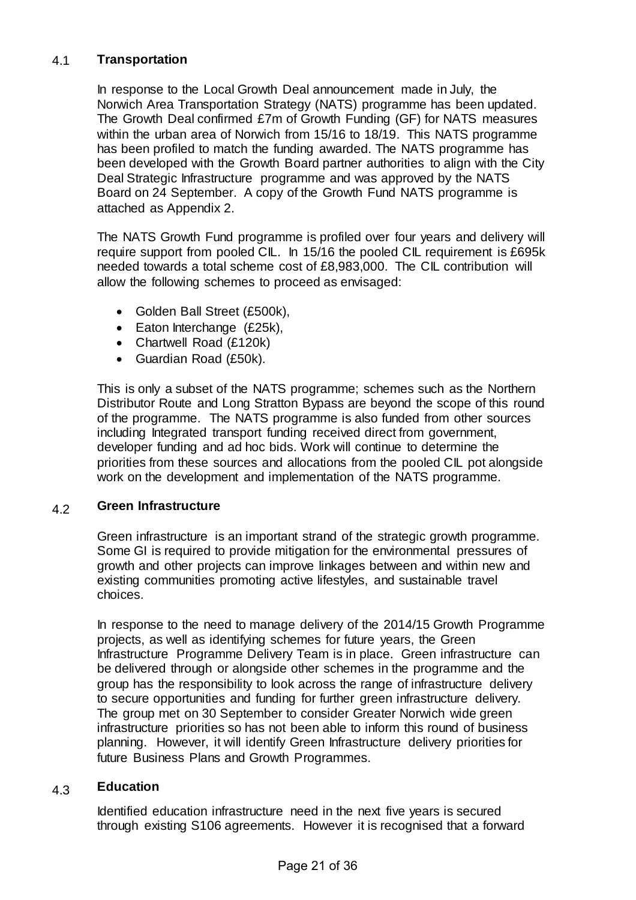## 4.1 **Transportation**

In response to the Local Growth Deal announcement made in July, the Norwich Area Transportation Strategy (NATS) programme has been updated. The Growth Deal confirmed £7m of Growth Funding (GF) for NATS measures within the urban area of Norwich from 15/16 to 18/19. This NATS programme has been profiled to match the funding awarded. The NATS programme has been developed with the Growth Board partner authorities to align with the City Deal Strategic Infrastructure programme and was approved by the NATS Board on 24 September. A copy of the Growth Fund NATS programme is attached as Appendix 2.

The NATS Growth Fund programme is profiled over four years and delivery will require support from pooled CIL. In 15/16 the pooled CIL requirement is £695k needed towards a total scheme cost of £8,983,000. The CIL contribution will allow the following schemes to proceed as envisaged:

- Golden Ball Street (£500k),
- Eaton Interchange (£25k),
- Chartwell Road (£120k)
- Guardian Road (£50k).

This is only a subset of the NATS programme; schemes such as the Northern Distributor Route and Long Stratton Bypass are beyond the scope of this round of the programme. The NATS programme is also funded from other sources including Integrated transport funding received direct from government, developer funding and ad hoc bids. Work will continue to determine the priorities from these sources and allocations from the pooled CIL pot alongside work on the development and implementation of the NATS programme.

#### 4.2 **Green Infrastructure**

Green infrastructure is an important strand of the strategic growth programme. Some GI is required to provide mitigation for the environmental pressures of growth and other projects can improve linkages between and within new and existing communities promoting active lifestyles, and sustainable travel choices.

In response to the need to manage delivery of the 2014/15 Growth Programme projects, as well as identifying schemes for future years, the Green Infrastructure Programme Delivery Team is in place. Green infrastructure can be delivered through or alongside other schemes in the programme and the group has the responsibility to look across the range of infrastructure delivery to secure opportunities and funding for further green infrastructure delivery. The group met on 30 September to consider Greater Norwich wide green infrastructure priorities so has not been able to inform this round of business planning. However, it will identify Green Infrastructure delivery priorities for future Business Plans and Growth Programmes.

#### 4.3 **Education**

Identified education infrastructure need in the next five years is secured through existing S106 agreements. However it is recognised that a forward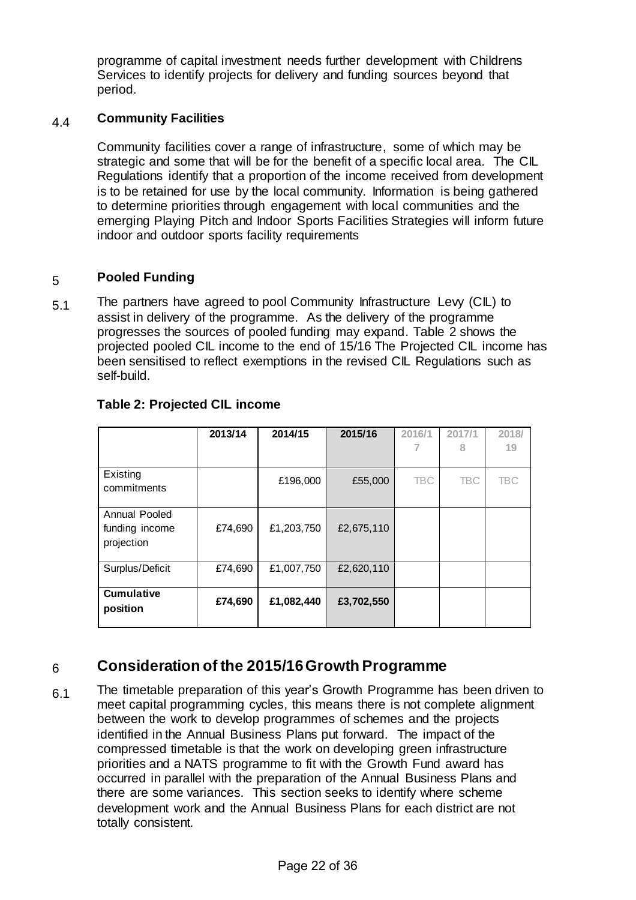programme of capital investment needs further development with Childrens Services to identify projects for delivery and funding sources beyond that period.

#### 4.4 **Community Facilities**

Community facilities cover a range of infrastructure, some of which may be strategic and some that will be for the benefit of a specific local area. The CIL Regulations identify that a proportion of the income received from development is to be retained for use by the local community. Information is being gathered to determine priorities through engagement with local communities and the emerging Playing Pitch and Indoor Sports Facilities Strategies will inform future indoor and outdoor sports facility requirements

## 5 **Pooled Funding**

5.1 The partners have agreed to pool Community Infrastructure Levy (CIL) to assist in delivery of the programme. As the delivery of the programme progresses the sources of pooled funding may expand. Table 2 shows the projected pooled CIL income to the end of 15/16 The Projected CIL income has been sensitised to reflect exemptions in the revised CIL Regulations such as self-build.

|                                               | 2013/14 | 2014/15    | 2015/16    | 2016/1     | 2017/1<br>8 | 2018/<br>19 |
|-----------------------------------------------|---------|------------|------------|------------|-------------|-------------|
| Existing<br>commitments                       |         | £196,000   | £55,000    | <b>TBC</b> | <b>TBC</b>  | <b>TBC</b>  |
| Annual Pooled<br>funding income<br>projection | £74,690 | £1,203,750 | £2,675,110 |            |             |             |
| Surplus/Deficit                               | £74,690 | £1,007,750 | £2,620,110 |            |             |             |
| <b>Cumulative</b><br>position                 | £74,690 | £1,082,440 | £3,702,550 |            |             |             |

# **Table 2: Projected CIL income**

# 6 **Consideration of the 2015/16 Growth Programme**

6.1 The timetable preparation of this year's Growth Programme has been driven to meet capital programming cycles, this means there is not complete alignment between the work to develop programmes of schemes and the projects identified in the Annual Business Plans put forward. The impact of the compressed timetable is that the work on developing green infrastructure priorities and a NATS programme to fit with the Growth Fund award has occurred in parallel with the preparation of the Annual Business Plans and there are some variances. This section seeks to identify where scheme development work and the Annual Business Plans for each district are not totally consistent.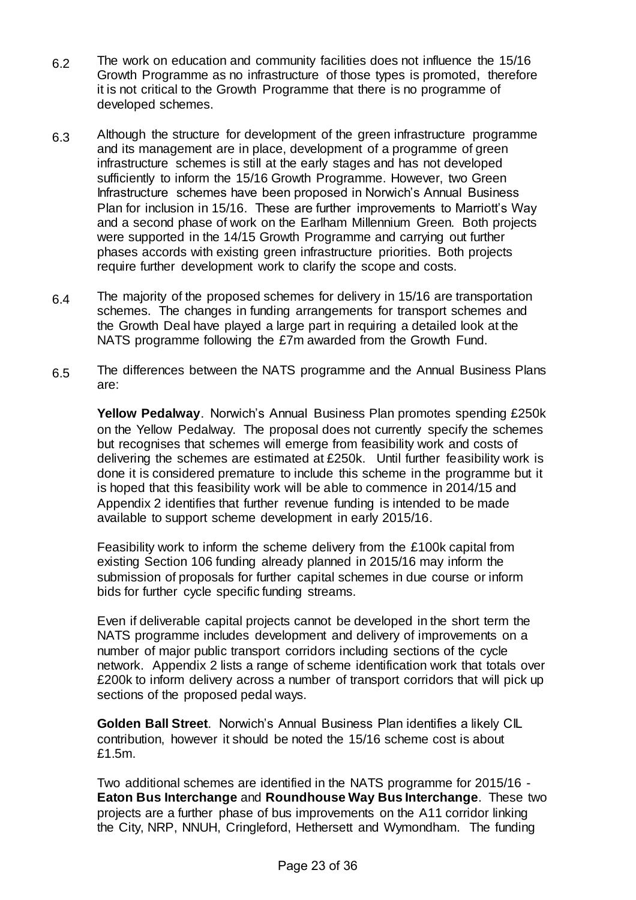- $6.2$  The work on education and community facilities does not influence the 15/16 Growth Programme as no infrastructure of those types is promoted, therefore it is not critical to the Growth Programme that there is no programme of developed schemes.
- 6.3 Although the structure for development of the green infrastructure programme and its management are in place, development of a programme of green infrastructure schemes is still at the early stages and has not developed sufficiently to inform the 15/16 Growth Programme. However, two Green Infrastructure schemes have been proposed in Norwich's Annual Business Plan for inclusion in 15/16. These are further improvements to Marriott's Way and a second phase of work on the Earlham Millennium Green. Both projects were supported in the 14/15 Growth Programme and carrying out further phases accords with existing green infrastructure priorities. Both projects require further development work to clarify the scope and costs.
- 6.4 The majority of the proposed schemes for delivery in 15/16 are transportation schemes. The changes in funding arrangements for transport schemes and the Growth Deal have played a large part in requiring a detailed look at the NATS programme following the £7m awarded from the Growth Fund.
- 6.5 The differences between the NATS programme and the Annual Business Plans are:

**Yellow Pedalway**. Norwich's Annual Business Plan promotes spending £250k on the Yellow Pedalway. The proposal does not currently specify the schemes but recognises that schemes will emerge from feasibility work and costs of delivering the schemes are estimated at £250k. Until further feasibility work is done it is considered premature to include this scheme in the programme but it is hoped that this feasibility work will be able to commence in 2014/15 and Appendix 2 identifies that further revenue funding is intended to be made available to support scheme development in early 2015/16.

Feasibility work to inform the scheme delivery from the £100k capital from existing Section 106 funding already planned in 2015/16 may inform the submission of proposals for further capital schemes in due course or inform bids for further cycle specific funding streams.

Even if deliverable capital projects cannot be developed in the short term the NATS programme includes development and delivery of improvements on a number of major public transport corridors including sections of the cycle network. Appendix 2 lists a range of scheme identification work that totals over £200k to inform delivery across a number of transport corridors that will pick up sections of the proposed pedal ways.

**Golden Ball Street**. Norwich's Annual Business Plan identifies a likely CIL contribution, however it should be noted the 15/16 scheme cost is about £1.5m.

Two additional schemes are identified in the NATS programme for 2015/16 - **Eaton Bus Interchange** and **Roundhouse Way Bus Interchange**. These two projects are a further phase of bus improvements on the A11 corridor linking the City, NRP, NNUH, Cringleford, Hethersett and Wymondham. The funding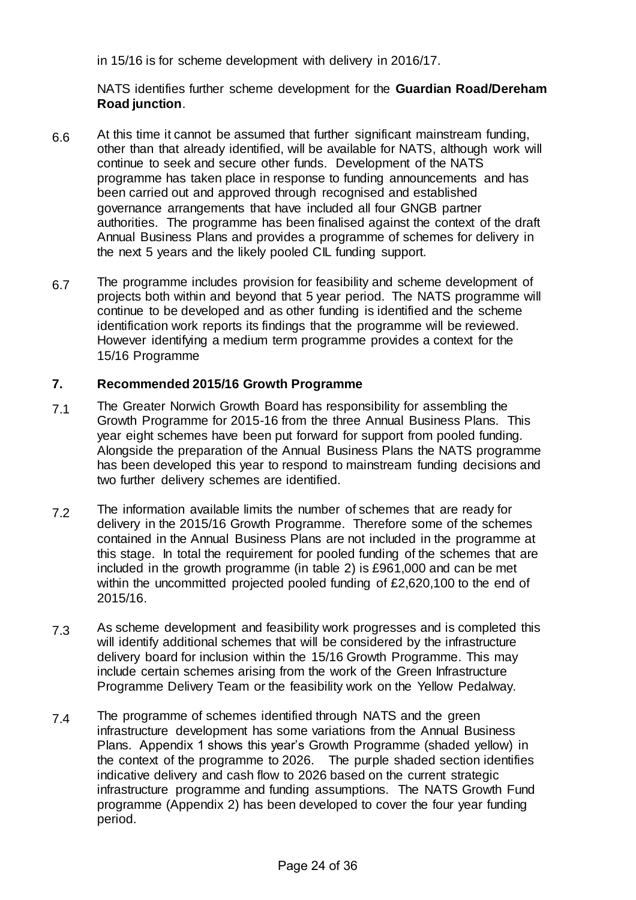in 15/16 is for scheme development with delivery in 2016/17.

NATS identifies further scheme development for the **Guardian Road/Dereham Road junction**.

- 6.6 At this time it cannot be assumed that further significant mainstream funding, other than that already identified, will be available for NATS, although work will continue to seek and secure other funds. Development of the NATS programme has taken place in response to funding announcements and has been carried out and approved through recognised and established governance arrangements that have included all four GNGB partner authorities. The programme has been finalised against the context of the draft Annual Business Plans and provides a programme of schemes for delivery in the next 5 years and the likely pooled CIL funding support.
- 6.7 The programme includes provision for feasibility and scheme development of projects both within and beyond that 5 year period. The NATS programme will continue to be developed and as other funding is identified and the scheme identification work reports its findings that the programme will be reviewed. However identifying a medium term programme provides a context for the 15/16 Programme

# **7. Recommended 2015/16 Growth Programme**

- 7.1 The Greater Norwich Growth Board has responsibility for assembling the Growth Programme for 2015-16 from the three Annual Business Plans. This year eight schemes have been put forward for support from pooled funding. Alongside the preparation of the Annual Business Plans the NATS programme has been developed this year to respond to mainstream funding decisions and two further delivery schemes are identified.
- 7.2 The information available limits the number of schemes that are ready for delivery in the 2015/16 Growth Programme. Therefore some of the schemes contained in the Annual Business Plans are not included in the programme at this stage. In total the requirement for pooled funding of the schemes that are included in the growth programme (in table 2) is £961,000 and can be met within the uncommitted projected pooled funding of £2,620,100 to the end of 2015/16.
- 7.3 As scheme development and feasibility work progresses and is completed this will identify additional schemes that will be considered by the infrastructure delivery board for inclusion within the 15/16 Growth Programme. This may include certain schemes arising from the work of the Green Infrastructure Programme Delivery Team or the feasibility work on the Yellow Pedalway.
- 7.4 The programme of schemes identified through NATS and the green infrastructure development has some variations from the Annual Business Plans. Appendix 1 shows this year's Growth Programme (shaded yellow) in the context of the programme to 2026. The purple shaded section identifies indicative delivery and cash flow to 2026 based on the current strategic infrastructure programme and funding assumptions. The NATS Growth Fund programme (Appendix 2) has been developed to cover the four year funding period.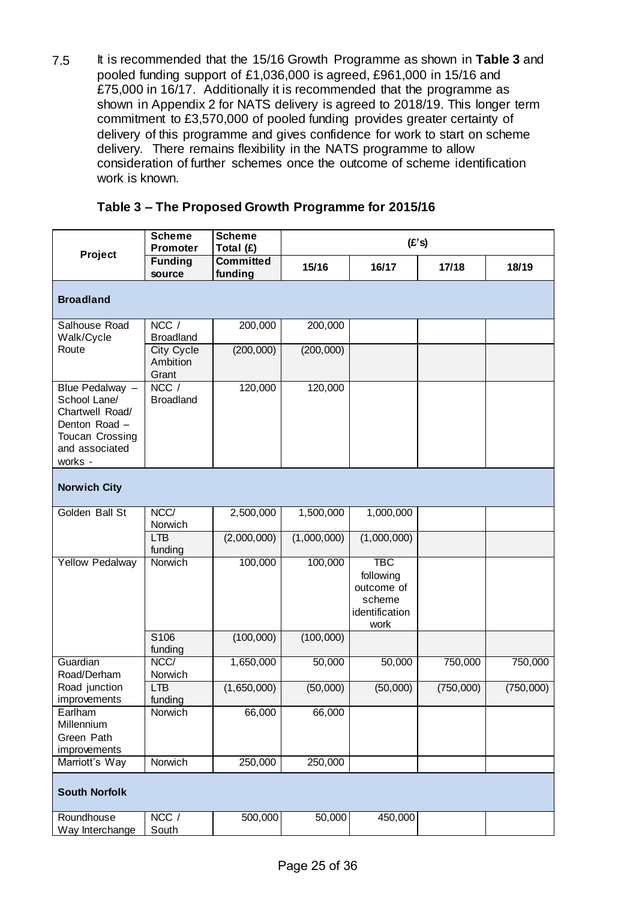7.5 It is recommended that the 15/16 Growth Programme as shown in **Table 3** and pooled funding support of £1,036,000 is agreed, £961,000 in 15/16 and £75,000 in 16/17. Additionally it is recommended that the programme as shown in Appendix 2 for NATS delivery is agreed to 2018/19. This longer term commitment to £3,570,000 of pooled funding provides greater certainty of delivery of this programme and gives confidence for work to start on scheme delivery. There remains flexibility in the NATS programme to allow consideration of further schemes once the outcome of scheme identification work is known.

|                                                                                                                     | <b>Scheme</b><br><b>Promoter</b> | <b>Scheme</b><br>Total (£)  |             | (E's)                                                                     |           |           |
|---------------------------------------------------------------------------------------------------------------------|----------------------------------|-----------------------------|-------------|---------------------------------------------------------------------------|-----------|-----------|
| Project                                                                                                             | <b>Funding</b><br>source         | <b>Committed</b><br>funding | 15/16       | 16/17                                                                     | 17/18     | 18/19     |
| <b>Broadland</b>                                                                                                    |                                  |                             |             |                                                                           |           |           |
| Salhouse Road<br>Walk/Cycle                                                                                         | NCC /<br><b>Broadland</b>        | 200,000                     | 200,000     |                                                                           |           |           |
| Route                                                                                                               | City Cycle<br>Ambition<br>Grant  | (200,000)                   | (200,000)   |                                                                           |           |           |
| Blue Pedalway -<br>School Lane/<br>Chartwell Road/<br>Denton Road -<br>Toucan Crossing<br>and associated<br>works - | NCC /<br><b>Broadland</b>        | 120,000                     | 120,000     |                                                                           |           |           |
| <b>Norwich City</b>                                                                                                 |                                  |                             |             |                                                                           |           |           |
| Golden Ball St                                                                                                      | NCC/<br>Norwich                  | 2,500,000                   | 1,500,000   | 1,000,000                                                                 |           |           |
|                                                                                                                     | <b>LTB</b><br>funding            | (2,000,000)                 | (1,000,000) | (1,000,000)                                                               |           |           |
| <b>Yellow Pedalway</b>                                                                                              | Norwich                          | 100,000                     | 100,000     | <b>TBC</b><br>following<br>outcome of<br>scheme<br>identification<br>work |           |           |
|                                                                                                                     | S106<br>funding                  | (100,000)                   | (100,000)   |                                                                           |           |           |
| Guardian<br>Road/Derham                                                                                             | NCC/<br>Norwich                  | 1,650,000                   | 50,000      | 50,000                                                                    | 750,000   | 750,000   |
| Road junction<br>improvements                                                                                       | <b>LTB</b><br>funding            | (1,650,000)                 | (50,000)    | (50,000)                                                                  | (750,000) | (750,000) |
| Earlham<br>Millennium<br>Green Path<br>improvements                                                                 | Norwich                          | 66,000                      | 66,000      |                                                                           |           |           |
| Marriott's Way                                                                                                      | Norwich                          | 250,000                     | 250,000     |                                                                           |           |           |
| <b>South Norfolk</b>                                                                                                |                                  |                             |             |                                                                           |           |           |
| Roundhouse<br>Way Interchange                                                                                       | NCC /<br>South                   | 500,000                     | 50,000      | 450,000                                                                   |           |           |

## **Table 3 – The Proposed Growth Programme for 2015/16**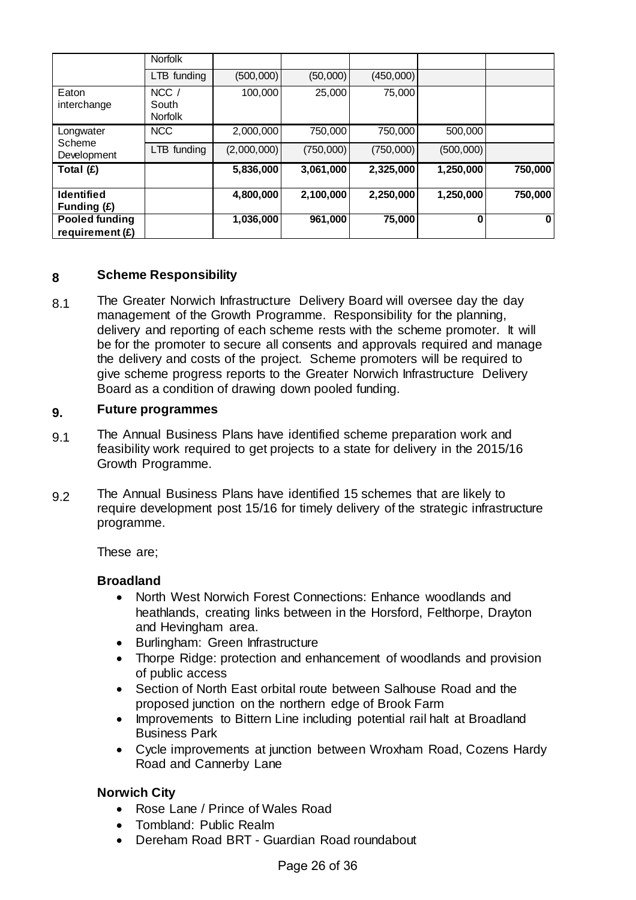|                                            | Norfolk                            |             |           |           |           |         |
|--------------------------------------------|------------------------------------|-------------|-----------|-----------|-----------|---------|
|                                            | LTB funding                        | (500,000)   | (50,000)  | (450,000) |           |         |
| Eaton<br>interchange                       | $NCC$ /<br>South<br><b>Norfolk</b> | 100,000     | 25,000    | 75,000    |           |         |
| Longwater                                  | <b>NCC</b>                         | 2,000,000   | 750,000   | 750,000   | 500,000   |         |
| Scheme<br>Development                      | LTB funding                        | (2,000,000) | (750,000) | (750,000) | (500,000) |         |
| Total $(E)$                                |                                    | 5,836,000   | 3,061,000 | 2,325,000 | 1,250,000 | 750,000 |
| <b>Identified</b><br>Funding (£)           |                                    | 4,800,000   | 2,100,000 | 2,250,000 | 1,250,000 | 750,000 |
| <b>Pooled funding</b><br>requirement $(E)$ |                                    | 1,036,000   | 961,000   | 75,000    | $\bf{0}$  | 0       |

# **8 Scheme Responsibility**

8.1 The Greater Norwich Infrastructure Delivery Board will oversee day the day management of the Growth Programme. Responsibility for the planning, delivery and reporting of each scheme rests with the scheme promoter. It will be for the promoter to secure all consents and approvals required and manage the delivery and costs of the project. Scheme promoters will be required to give scheme progress reports to the Greater Norwich Infrastructure Delivery Board as a condition of drawing down pooled funding.

## **9. Future programmes**

- 9.1 The Annual Business Plans have identified scheme preparation work and feasibility work required to get projects to a state for delivery in the 2015/16 Growth Programme.
- 9.2 The Annual Business Plans have identified 15 schemes that are likely to require development post 15/16 for timely delivery of the strategic infrastructure programme.

These are;

# **Broadland**

- North West Norwich Forest Connections: Enhance woodlands and heathlands, creating links between in the Horsford, Felthorpe, Drayton and Hevingham area.
- Burlingham: Green Infrastructure
- Thorpe Ridge: protection and enhancement of woodlands and provision of public access
- Section of North East orbital route between Salhouse Road and the proposed junction on the northern edge of Brook Farm
- Improvements to Bittern Line including potential rail halt at Broadland Business Park
- Cycle improvements at junction between Wroxham Road, Cozens Hardy Road and Cannerby Lane

# **Norwich City**

- Rose Lane / Prince of Wales Road
- Tombland: Public Realm
- Dereham Road BRT Guardian Road roundabout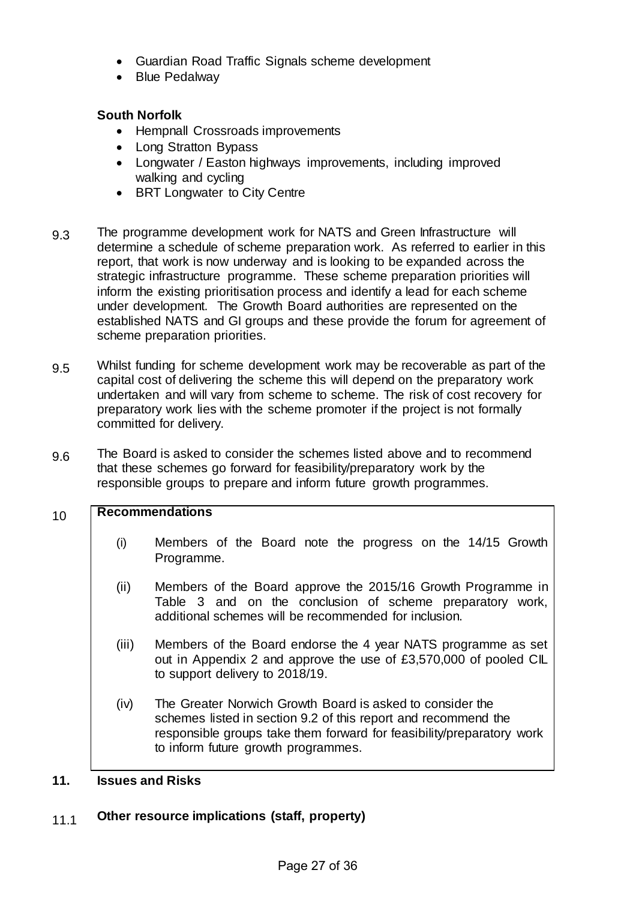- Guardian Road Traffic Signals scheme development
- Blue Pedalway

# **South Norfolk**

- Hempnall Crossroads improvements
- Long Stratton Bypass
- Longwater / Easton highways improvements, including improved walking and cycling
- BRT Longwater to City Centre
- 9.3 The programme development work for NATS and Green Infrastructure will determine a schedule of scheme preparation work. As referred to earlier in this report, that work is now underway and is looking to be expanded across the strategic infrastructure programme. These scheme preparation priorities will inform the existing prioritisation process and identify a lead for each scheme under development. The Growth Board authorities are represented on the established NATS and GI groups and these provide the forum for agreement of scheme preparation priorities.
- 9.5 Whilst funding for scheme development work may be recoverable as part of the capital cost of delivering the scheme this will depend on the preparatory work undertaken and will vary from scheme to scheme. The risk of cost recovery for preparatory work lies with the scheme promoter if the project is not formally committed for delivery.
- 9.6 The Board is asked to consider the schemes listed above and to recommend that these schemes go forward for feasibility/preparatory work by the responsible groups to prepare and inform future growth programmes.

# 10 **Recommendations**

- (i) Members of the Board note the progress on the 14/15 Growth Programme.
- (ii) Members of the Board approve the 2015/16 Growth Programme in Table 3 and on the conclusion of scheme preparatory work, additional schemes will be recommended for inclusion.
- (iii) Members of the Board endorse the 4 year NATS programme as set out in Appendix 2 and approve the use of £3,570,000 of pooled CIL to support delivery to 2018/19.
- (iv) The Greater Norwich Growth Board is asked to consider the schemes listed in section 9.2 of this report and recommend the responsible groups take them forward for feasibility/preparatory work to inform future growth programmes.

# **11. Issues and Risks**

# 11.1 **Other resource implications (staff, property)**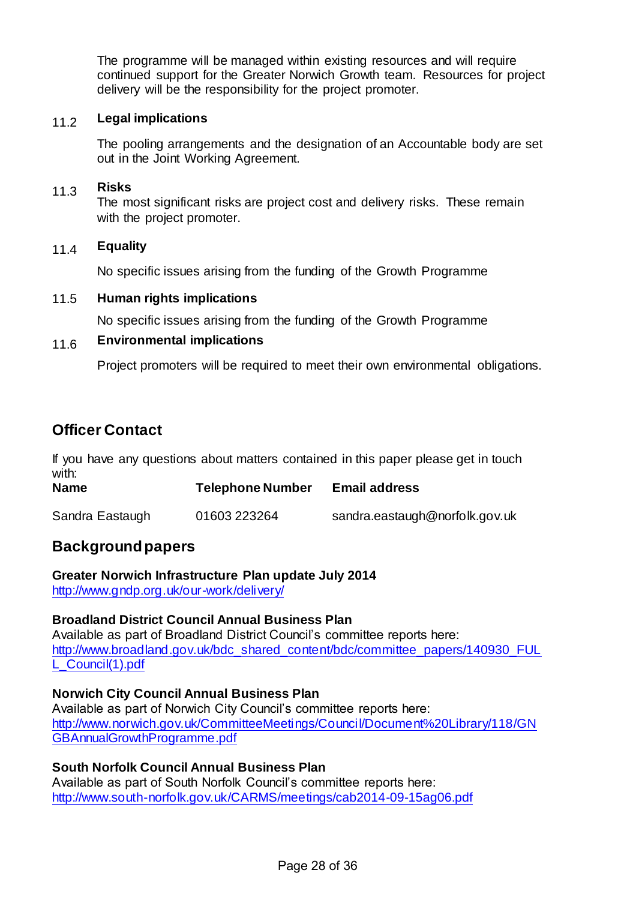The programme will be managed within existing resources and will require continued support for the Greater Norwich Growth team. Resources for project delivery will be the responsibility for the project promoter.

## 11.2 **Legal implications**

The pooling arrangements and the designation of an Accountable body are set out in the Joint Working Agreement.

# 11.3 **Risks**

The most significant risks are project cost and delivery risks. These remain with the project promoter.

#### 11.4 **Equality**

No specific issues arising from the funding of the Growth Programme

#### 11.5 **Human rights implications**

No specific issues arising from the funding of the Growth Programme

## 11.6 **Environmental implications**

Project promoters will be required to meet their own environmental obligations.

# **Officer Contact**

If you have any questions about matters contained in this paper please get in touch with:

| <b>Name</b>     | <b>Telephone Number</b> | <b>Email address</b>           |
|-----------------|-------------------------|--------------------------------|
| Sandra Eastaugh | 01603 223264            | sandra.eastaugh@norfolk.gov.uk |

# **Background papers**

#### **Greater Norwich Infrastructure Plan update July 2014**

<http://www.gndp.org.uk/our-work/delivery/>

#### **Broadland District Council Annual Business Plan**

Available as part of Broadland District Council's committee reports here: [http://www.broadland.gov.uk/bdc\\_shared\\_content/bdc/committee\\_papers/140930\\_FUL](http://www.broadland.gov.uk/bdc_shared_content/bdc/committee_papers/140930_FULL_Council(1).pdf) [L\\_Council\(1\).pdf](http://www.broadland.gov.uk/bdc_shared_content/bdc/committee_papers/140930_FULL_Council(1).pdf)

#### **Norwich City Council Annual Business Plan**

Available as part of Norwich City Council's committee reports here: [http://www.norwich.gov.uk/CommitteeMeetings/Council/Document%20Library/118/GN](http://www.norwich.gov.uk/CommitteeMeetings/Council/Document%20Library/118/GNGBAnnualGrowthProgramme.pdf) [GBAnnualGrowthProgramme.pdf](http://www.norwich.gov.uk/CommitteeMeetings/Council/Document%20Library/118/GNGBAnnualGrowthProgramme.pdf)

# **South Norfolk Council Annual Business Plan** Available as part of South Norfolk Council's committee reports here:

<http://www.south-norfolk.gov.uk/CARMS/meetings/cab2014-09-15ag06.pdf>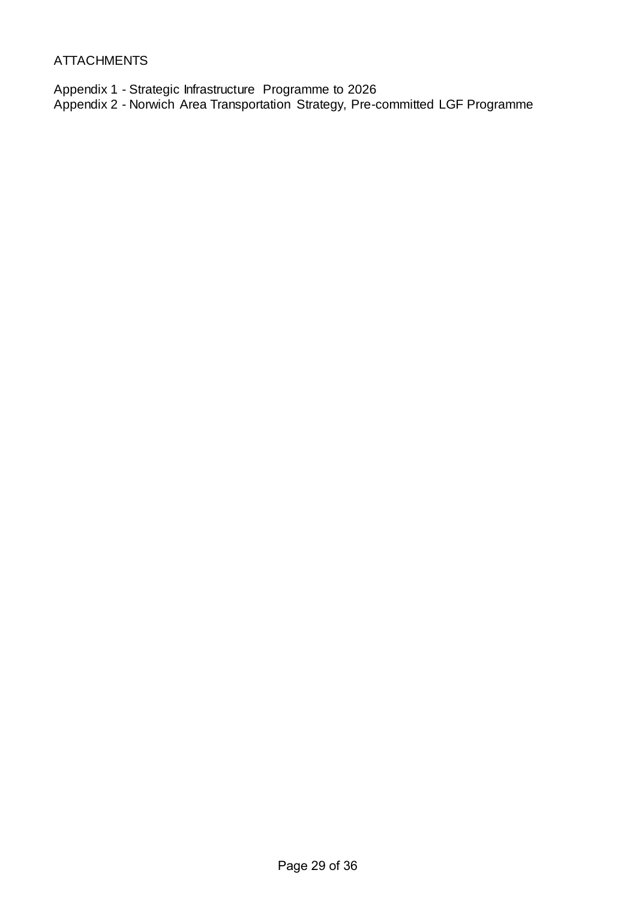# ATTACHMENTS

Appendix 1 - Strategic Infrastructure Programme to 2026 Appendix 2 - Norwich Area Transportation Strategy, Pre-committed LGF Programme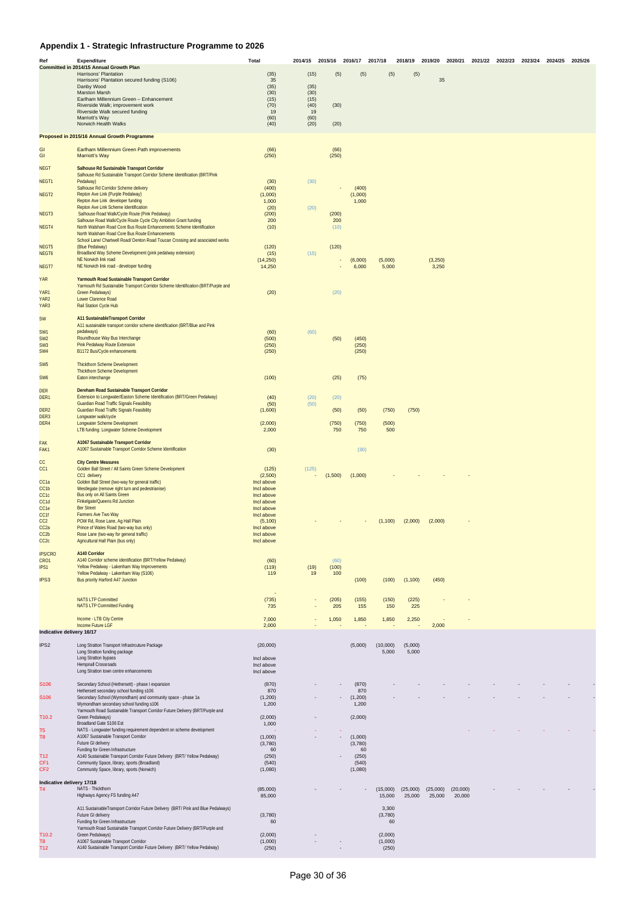# **Appendix 1 - Strategic Infrastructure Programme to 2026**

| Ref                                   | <b>Expenditure</b><br>Committed in 2014/15 Annual Growth Plan                                                                   | <b>Total</b>             | 2014/15      | 2015/16      | 2016/17 2017/18  |                    | 2018/19 2019/20    |                    |                    | 2020/21 2021/22 2022/23 | 2023/24 2024/25 | 2025/26 |
|---------------------------------------|---------------------------------------------------------------------------------------------------------------------------------|--------------------------|--------------|--------------|------------------|--------------------|--------------------|--------------------|--------------------|-------------------------|-----------------|---------|
|                                       | Harrisons' Plantation                                                                                                           | (35)                     | (15)         | (5)          | (5)              | (5)                | (5)                |                    |                    |                         |                 |         |
|                                       | Harrisons' Plantation secured funding (S106)                                                                                    | 35<br>(35)               | (35)         |              |                  |                    |                    | 35                 |                    |                         |                 |         |
|                                       | Danby Wood<br><b>Marston Marsh</b>                                                                                              | (30)                     | (30)         |              |                  |                    |                    |                    |                    |                         |                 |         |
|                                       | Earlham Millennium Green - Enhancement<br>Riverside Walk; improvement work                                                      | (15)<br>(70)             | (15)<br>(40) | (30)         |                  |                    |                    |                    |                    |                         |                 |         |
|                                       | Riverside Walk secured funding                                                                                                  | 19                       | 19           |              |                  |                    |                    |                    |                    |                         |                 |         |
|                                       | Marriott's Way<br>Norwich Health Walks                                                                                          | (60)<br>(40)             | (60)<br>(20) | (20)         |                  |                    |                    |                    |                    |                         |                 |         |
|                                       |                                                                                                                                 |                          |              |              |                  |                    |                    |                    |                    |                         |                 |         |
|                                       | Proposed in 2015/16 Annual Growth Programme                                                                                     |                          |              |              |                  |                    |                    |                    |                    |                         |                 |         |
| GI                                    | Earlham Millennium Green Path improvements                                                                                      | (66)                     |              | (66)         |                  |                    |                    |                    |                    |                         |                 |         |
| GI                                    | <b>Marriott's Way</b>                                                                                                           | (250)                    |              | (250)        |                  |                    |                    |                    |                    |                         |                 |         |
| <b>NEGT</b>                           | Salhouse Rd Sustainable Transport Corridor                                                                                      |                          |              |              |                  |                    |                    |                    |                    |                         |                 |         |
| NEGT1                                 | Salhouse Rd Sustainable Transport Corridor Scheme Identification (BRT/Pink<br>Pedalway)                                         | (30)                     | (30)         |              |                  |                    |                    |                    |                    |                         |                 |         |
|                                       | Salhouse Rd Corridor Scheme delivery                                                                                            | (400)                    |              |              | (400)            |                    |                    |                    |                    |                         |                 |         |
| NEGT <sub>2</sub>                     | Repton Ave Link (Purple Pedalway)<br>Repton Ave Link developer funding                                                          | (1,000)<br>1,000         |              |              | (1,000)<br>1,000 |                    |                    |                    |                    |                         |                 |         |
|                                       | Repton Ave Link Scheme Identification                                                                                           | (20)                     | (20)         |              |                  |                    |                    |                    |                    |                         |                 |         |
| NEGT3                                 | Salhouse Road Walk/Cycle Route (Pink Pedalway)<br>Salhouse Road Walk/Cycle Route Cycle City Ambition Grant funding              | (200)<br>200             |              | (200)<br>200 |                  |                    |                    |                    |                    |                         |                 |         |
| NEGT4                                 | North Walsham Road Core Bus Route Enhancements Scheme Identification                                                            | (10)                     |              | (10)         |                  |                    |                    |                    |                    |                         |                 |         |
|                                       | North Walsham Road Core Bus Route Enhancements<br>School Lane/ Chartwell Road/ Denton Road Toucan Crossing and associated works |                          |              |              |                  |                    |                    |                    |                    |                         |                 |         |
| NEGT5                                 | (Blue Pedalway)                                                                                                                 | (120)                    |              | (120)        |                  |                    |                    |                    |                    |                         |                 |         |
| NEGT <sub>6</sub>                     | Broadland Way Scheme Development (pink pedalway extension)<br>NE Norwich link road                                              | (15)<br>(14,250)         | (15)         |              | (6,000)          | (5,000)            |                    | (3,250)            |                    |                         |                 |         |
| NEGT7                                 | NE Norwich link road - developer funding                                                                                        | 14,250                   |              |              | 6,000            | 5,000              |                    | 3,250              |                    |                         |                 |         |
| <b>YAR</b>                            | Yarmouth Road Sustainable Transport Corridor                                                                                    |                          |              |              |                  |                    |                    |                    |                    |                         |                 |         |
|                                       | Yarmouth Rd Sustainable Transport Corridor Scheme Identification (BRT/Purple and                                                |                          |              |              |                  |                    |                    |                    |                    |                         |                 |         |
| YAR1<br>YAR <sub>2</sub>              | <b>Green Pedalways)</b><br>Lower Clarence Road                                                                                  | (20)                     |              | (20)         |                  |                    |                    |                    |                    |                         |                 |         |
| YAR3                                  | Rail Station Cycle Hub                                                                                                          |                          |              |              |                  |                    |                    |                    |                    |                         |                 |         |
|                                       |                                                                                                                                 |                          |              |              |                  |                    |                    |                    |                    |                         |                 |         |
| <b>SW</b>                             | A11 SustainableTransport Corridor<br>A11 sustainable transport corridor scheme identification (BRT/Blue and Pink                |                          |              |              |                  |                    |                    |                    |                    |                         |                 |         |
| SW <sub>1</sub>                       | pedalways)                                                                                                                      | (60)                     | (60)         |              |                  |                    |                    |                    |                    |                         |                 |         |
| SW <sub>2</sub><br>SW <sub>3</sub>    | Roundhouse Way Bus Interchange<br>Pink Pedalway Route Extension                                                                 | (500)<br>(250)           |              | (50)         | (450)<br>(250)   |                    |                    |                    |                    |                         |                 |         |
| SW <sub>4</sub>                       | B1172 Bus/Cycle enhancements                                                                                                    | (250)                    |              |              | (250)            |                    |                    |                    |                    |                         |                 |         |
| SW <sub>5</sub>                       | <b>Thickthorn Scheme Development</b>                                                                                            |                          |              |              |                  |                    |                    |                    |                    |                         |                 |         |
|                                       | <b>Thickthorn Scheme Development</b>                                                                                            |                          |              |              |                  |                    |                    |                    |                    |                         |                 |         |
| SW <sub>6</sub>                       | Eaton interchange                                                                                                               | (100)                    |              | (25)         | (75)             |                    |                    |                    |                    |                         |                 |         |
| <b>DER</b>                            | Dereham Road Sustainable Transport Corridor                                                                                     |                          |              |              |                  |                    |                    |                    |                    |                         |                 |         |
| DER1                                  | Extension to Longwater/Easton Scheme Identification (BRT/Green Pedalway)<br><b>Guardian Road Traffic Signals Feasibility</b>    | (40)<br>(50)             | (20)<br>(50) | (20)         |                  |                    |                    |                    |                    |                         |                 |         |
| DER <sub>2</sub>                      | <b>Guardian Road Traffic Signals Feasibility</b>                                                                                | (1,600)                  |              | (50)         | (50)             | (750)              | (750)              |                    |                    |                         |                 |         |
| DER <sub>3</sub><br>DER4              | Longwater walk/cycle<br><b>Longwater Scheme Development</b>                                                                     | (2,000)                  |              |              | (750)            | (500)              |                    |                    |                    |                         |                 |         |
|                                       | LTB funding: Longwater Scheme Development                                                                                       | 2,000                    |              | (750)<br>750 | 750              | 500                |                    |                    |                    |                         |                 |         |
|                                       | A1067 Sustainable Transport Corridor                                                                                            |                          |              |              |                  |                    |                    |                    |                    |                         |                 |         |
| <b>FAK</b><br>FAK1                    | A1067 Sustainable Transport Corridor Scheme Identification                                                                      | (30)                     |              |              | (30)             |                    |                    |                    |                    |                         |                 |         |
|                                       |                                                                                                                                 |                          |              |              |                  |                    |                    |                    |                    |                         |                 |         |
| cc<br>CC <sub>1</sub>                 | <b>City Centre Measures</b><br>Golden Ball Street / All Saints Green Scheme Development                                         | (125)                    | (125)        |              |                  |                    |                    |                    |                    |                         |                 |         |
|                                       | CC1 delivery                                                                                                                    | (2,500)                  |              | (1,500)      | (1,000)          |                    |                    |                    |                    |                         |                 |         |
| CC <sub>1a</sub><br>CC <sub>1</sub> b | Golden Ball Street (two-way for general traffic)<br>Westlegate (remove right turn and pedestrianise)                            | Incl above<br>Incl above |              |              |                  |                    |                    |                    |                    |                         |                 |         |
| CC <sub>1c</sub>                      | Bus only on All Saints Green                                                                                                    | Incl above               |              |              |                  |                    |                    |                    |                    |                         |                 |         |
| CC <sub>1</sub> d<br>CC <sub>1e</sub> | Finkelgate/Queens Rd Junction<br><b>Ber Street</b>                                                                              | Incl above<br>Incl above |              |              |                  |                    |                    |                    |                    |                         |                 |         |
| CC1f                                  | Farmers Ave Two Way                                                                                                             | Incl above               |              |              |                  |                    |                    |                    |                    |                         |                 |         |
| CC <sub>2</sub><br>CC <sub>2a</sub>   | POW Rd, Rose Lane, Ag Hall Plain<br>Prince of Wales Road (two-way bus only)                                                     | (5, 100)<br>Incl above   |              |              |                  | (1,100)            | (2,000)            | (2,000)            |                    |                         |                 |         |
| CC2b                                  | Rose Lane (two-way for general traffic)                                                                                         | Incl above               |              |              |                  |                    |                    |                    |                    |                         |                 |         |
| CC <sub>2c</sub>                      | Agricultural Hall Plain (bus only)                                                                                              | Incl above               |              |              |                  |                    |                    |                    |                    |                         |                 |         |
| <b>IPS/CRO</b>                        | A140 Corridor                                                                                                                   |                          |              |              |                  |                    |                    |                    |                    |                         |                 |         |
| CRO1<br>IPS1                          | A140 Corridor scheme identification (BRT/Yellow Pedalway)<br>Yellow Pedalway - Lakenham Way Improvements                        | (60)                     |              | (60)         |                  |                    |                    |                    |                    |                         |                 |         |
|                                       | Yellow Pedalway - Lakenham Way (S106)                                                                                           | (119)<br>119             | (19)<br>19   | (100)<br>100 |                  |                    |                    |                    |                    |                         |                 |         |
| IPS3                                  | Bus priority Harford A47 Junction                                                                                               |                          |              |              | (100)            | (100)              | (1,100)            | (450)              |                    |                         |                 |         |
|                                       |                                                                                                                                 |                          |              |              |                  |                    |                    |                    |                    |                         |                 |         |
|                                       | <b>NATS LTP Committed</b>                                                                                                       | (735)                    |              | (205)        | (155)            | (150)              | (225)              |                    |                    |                         |                 |         |
|                                       | <b>NATS LTP Committed Funding</b>                                                                                               | 735                      |              | 205          | 155              | 150                | 225                |                    |                    |                         |                 |         |
|                                       | Income - LTB City Centre                                                                                                        | 7,000                    |              | 1,050        | 1,850            | 1,850              | 2,250              |                    |                    |                         |                 |         |
| Indicative delivery 16/17             | Income Future LGF                                                                                                               | 2,000                    |              |              |                  |                    |                    | 2,000              |                    |                         |                 |         |
|                                       |                                                                                                                                 |                          |              |              |                  |                    |                    |                    |                    |                         |                 |         |
| IPS <sub>2</sub>                      | Long Stratton Transport Infrastrcuture Package<br>Long Stratton funding package                                                 | (20,000)                 |              |              | (5,000)          | (10,000)<br>5,000  | (5,000)<br>5,000   |                    |                    |                         |                 |         |
|                                       | Long Stratton bypass                                                                                                            | Incl above               |              |              |                  |                    |                    |                    |                    |                         |                 |         |
|                                       | Hempnall Crossroads<br>Long Stratton town centre enhancements                                                                   | Incl above<br>Incl above |              |              |                  |                    |                    |                    |                    |                         |                 |         |
|                                       |                                                                                                                                 |                          |              |              |                  |                    |                    |                    |                    |                         |                 |         |
| S <sub>106</sub>                      | Secondary School (Hethersett) - phase I expansion<br>Hethersett secondary school funding s106                                   | (870)<br>870             |              |              | (870)<br>870     |                    |                    |                    |                    |                         |                 |         |
| S <sub>106</sub>                      | Secondary School (Wymondham) and community space - phase 1a                                                                     | (1,200)                  |              |              | (1,200)          |                    |                    |                    |                    |                         |                 |         |
|                                       | Wymondham secondary school funding s106<br>Yarmouth Road Sustainable Transport Corridor Future Delivery (BRT/Purple and         | 1,200                    |              |              | 1,200            |                    |                    |                    |                    |                         |                 |         |
| T <sub>10.2</sub>                     | Green Pedalways)                                                                                                                | (2,000)                  |              |              | (2,000)          |                    |                    |                    |                    |                         |                 |         |
|                                       | Broadland Gate S106 Est                                                                                                         | 1,000                    |              |              |                  |                    |                    |                    |                    |                         |                 |         |
| T <sub>5</sub><br>T <sub>8</sub>      | NATS - Longwater funding requirement dependent on scheme development<br>A1067 Sustainable Transport Corridor                    | (1,000)                  |              |              | (1,000)          |                    |                    |                    |                    |                         |                 |         |
|                                       | Future GI delivery                                                                                                              | (3,780)                  |              |              | (3,780)          |                    |                    |                    |                    |                         |                 |         |
| T <sub>12</sub>                       | Funding for Green Infrastructure<br>A140 Sustainable Transport Corridor Future Delivery (BRT/ Yellow Pedalway)                  | 60<br>(250)              |              |              | 60<br>(250)      |                    |                    |                    |                    |                         |                 |         |
| CF <sub>1</sub>                       | Community Space, library, sports (Broadland)                                                                                    | (540)                    |              |              | (540)            |                    |                    |                    |                    |                         |                 |         |
| CF <sub>2</sub>                       | Community Space, library, sports (Norwich)                                                                                      | (1,080)                  |              |              | (1,080)          |                    |                    |                    |                    |                         |                 |         |
| Indicative delivery 17/18             |                                                                                                                                 |                          |              |              |                  |                    |                    |                    |                    |                         |                 |         |
| T <sub>4</sub>                        | NATS - Thickthorn<br>Highways Agency FS funding A47                                                                             | (85,000)<br>85,000       |              |              |                  | (15,000)<br>15,000 | (25,000)<br>25,000 | (25,000)<br>25,000 | (20,000)<br>20,000 |                         |                 |         |
|                                       |                                                                                                                                 |                          |              |              |                  |                    |                    |                    |                    |                         |                 |         |
|                                       | A11 SustainableTransport Corridor Future Delivery (BRT/ Pink and Blue Pedalways)<br>Future GI delivery                          | (3,780)                  |              |              |                  | 3,300<br>(3,780)   |                    |                    |                    |                         |                 |         |
|                                       | Funding for Green Infrastructure                                                                                                | 60                       |              |              |                  | 60                 |                    |                    |                    |                         |                 |         |
| T <sub>10.2</sub>                     | Yarmouth Road Sustainable Transport Corridor Future Delivery (BRT/Purple and<br>Green Pedalways)                                | (2,000)                  |              |              |                  | (2,000)            |                    |                    |                    |                         |                 |         |
| T <sub>8</sub>                        | A1067 Sustainable Transport Corridor                                                                                            | (1,000)                  |              |              |                  | (1,000)            |                    |                    |                    |                         |                 |         |
| T <sub>12</sub>                       | A140 Sustainable Transport Corridor Future Delivery (BRT/ Yellow Pedalway)                                                      | (250)                    |              |              |                  | (250)              |                    |                    |                    |                         |                 |         |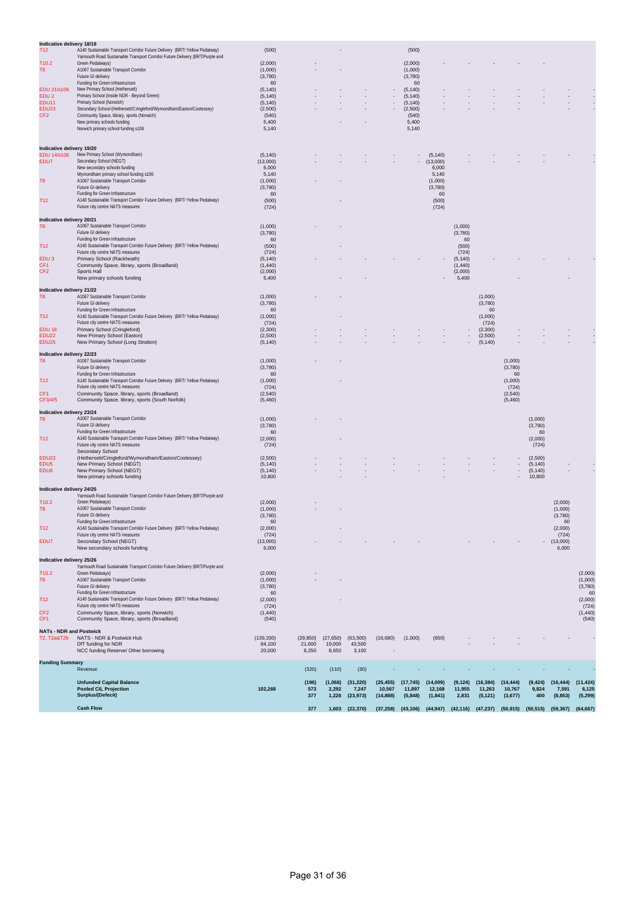| Indicative delivery 18/19       |                                                                                                                    |                    |           |           |          |                |                    |                      |                          |          |                  |                    |               |                   |
|---------------------------------|--------------------------------------------------------------------------------------------------------------------|--------------------|-----------|-----------|----------|----------------|--------------------|----------------------|--------------------------|----------|------------------|--------------------|---------------|-------------------|
| T <sub>12</sub>                 | A140 Sustainable Transport Corridor Future Delivery (BRT/ Yellow Pedalway)                                         | (500)              |           |           |          |                | (500)              |                      |                          |          |                  |                    |               |                   |
|                                 | Yarmouth Road Sustainable Transport Corridor Future Delivery (BRT/Purple and                                       |                    |           |           |          |                |                    |                      |                          |          |                  |                    |               |                   |
| T10.2                           | Green Pedalways)                                                                                                   | (2,000)            |           |           |          |                | (2,000)            |                      |                          |          |                  |                    |               |                   |
| T8                              | A1067 Sustainable Transport Corridor<br>Future GI delivery                                                         | (1,000)<br>(3,780) |           |           |          |                | (1,000)<br>(3,780) |                      |                          |          |                  |                    |               |                   |
|                                 | Funding for Green Infrastructure                                                                                   | 60                 |           |           |          |                | 60                 |                      |                          |          |                  |                    |               |                   |
| <b>EDU 21/s106</b>              | New Primary School (Hethersett)                                                                                    | (5, 140)           |           |           |          |                | (5, 140)           |                      |                          |          |                  |                    |               |                   |
| EDU <sub>2</sub>                | Primary School (inside NDR - Beyond Green)                                                                         | (5, 140)           |           |           |          | $\blacksquare$ | (5, 140)           |                      |                          |          |                  |                    |               |                   |
| <b>EDU11</b>                    | Primary School (Norwich)                                                                                           | (5, 140)           |           |           |          |                | (5, 140)           |                      |                          |          |                  |                    |               |                   |
| EDU23                           | Secondary School (Hethersett/Cringleford/Wymondham/Easton/Costessey)<br>Community Space, library, sports (Norwich) | (2,500)            |           |           |          |                | (2,500)            |                      |                          |          |                  |                    |               |                   |
| CF <sub>2</sub>                 | New primary schools funding                                                                                        | (540)<br>5,400     |           |           |          |                | (540)<br>5,400     |                      |                          |          |                  |                    |               |                   |
|                                 | Norwich primary school funding s106                                                                                | 5,140              |           |           |          |                | 5,140              |                      |                          |          |                  |                    |               |                   |
|                                 |                                                                                                                    |                    |           |           |          |                |                    |                      |                          |          |                  |                    |               |                   |
|                                 |                                                                                                                    |                    |           |           |          |                |                    |                      |                          |          |                  |                    |               |                   |
| Indicative delivery 19/20       |                                                                                                                    |                    |           |           |          |                |                    |                      |                          |          |                  |                    |               |                   |
| <b>EDU 14/s106</b><br>EDU7      | New Primary School (Wymondham)<br>Secondary School (NEGT)                                                          | (5, 140)           |           |           |          |                |                    | (5, 140)<br>(13,000) |                          |          |                  |                    |               |                   |
|                                 | New secondary schools funding                                                                                      | (13,000)<br>6,000  |           |           |          |                |                    | 6,000                |                          |          |                  |                    |               |                   |
|                                 | Wymondham primary school funding s106                                                                              | 5,140              |           |           |          |                |                    | 5,140                |                          |          |                  |                    |               |                   |
| T8                              | A1067 Sustainable Transport Corridor                                                                               | (1,000)            |           |           |          |                |                    | (1,000)              |                          |          |                  |                    |               |                   |
|                                 | Future GI delivery                                                                                                 | (3,780)            |           |           |          |                |                    | (3,780)              |                          |          |                  |                    |               |                   |
|                                 | Funding for Green Infrastructure                                                                                   | 60                 |           |           |          |                |                    | 60                   |                          |          |                  |                    |               |                   |
| T <sub>12</sub>                 | A140 Sustainable Transport Corridor Future Delivery (BRT/Yellow Pedalway)<br>Future city centre NATS measures      | (500)              |           |           |          |                |                    | (500)                |                          |          |                  |                    |               |                   |
|                                 |                                                                                                                    | (724)              |           |           |          |                |                    | (724)                |                          |          |                  |                    |               |                   |
| Indicative delivery 20/21       |                                                                                                                    |                    |           |           |          |                |                    |                      |                          |          |                  |                    |               |                   |
| T8                              | A1067 Sustainable Transport Corridor                                                                               | (1,000)            |           |           |          |                |                    |                      | (1,000)                  |          |                  |                    |               |                   |
|                                 | Future GI delivery                                                                                                 | (3,780)            |           |           |          |                |                    |                      | (3,780)                  |          |                  |                    |               |                   |
|                                 | Funding for Green Infrastructure                                                                                   | 60                 |           |           |          |                |                    |                      | 60                       |          |                  |                    |               |                   |
| T12                             | A140 Sustainable Transport Corridor Future Delivery (BRT/ Yellow Pedalway)                                         | (500)              |           |           |          |                |                    |                      | (500)                    |          |                  |                    |               |                   |
| EDU <sub>3</sub>                | Future city centre NATS measures<br>Primary School (Rackheath)                                                     | (724)<br>(5, 140)  |           |           |          |                |                    |                      | (724)<br>(5, 140)        |          |                  |                    |               |                   |
| CF1                             | Community Space, library, sports (Broadland)                                                                       | (1,440)            |           |           |          |                |                    |                      | (1, 440)                 |          |                  |                    |               |                   |
| CF2                             | Sports Hall                                                                                                        | (2,000)            |           |           |          |                |                    |                      | (2,000)                  |          |                  |                    |               |                   |
|                                 | New primary schools funding                                                                                        | 5,400              |           |           |          |                |                    |                      | 5,400                    |          |                  |                    |               |                   |
|                                 |                                                                                                                    |                    |           |           |          |                |                    |                      |                          |          |                  |                    |               |                   |
| Indicative delivery 21/22<br>T8 | A1067 Sustainable Transport Corridor                                                                               | (1,000)            |           |           |          |                |                    |                      |                          | (1,000)  |                  |                    |               |                   |
|                                 | Future GI delivery                                                                                                 | (3,780)            |           |           |          |                |                    |                      |                          | (3,780)  |                  |                    |               |                   |
|                                 | Funding for Green Infrastructure                                                                                   | 60                 |           |           |          |                |                    |                      |                          | 60       |                  |                    |               |                   |
| T12                             | A140 Sustainable Transport Corridor Future Delivery (BRT/ Yellow Pedalway)                                         | (1,000)            |           |           |          |                |                    |                      |                          | (1,000)  |                  |                    |               |                   |
|                                 | Future city centre NATS measures                                                                                   | (724)              |           |           |          |                |                    |                      |                          | (724)    |                  |                    |               |                   |
| <b>EDU 18</b>                   | Primary School (Cringleford)                                                                                       | (2,300)            |           |           |          |                |                    |                      |                          | (2,300)  |                  |                    |               |                   |
| EDU22                           | New Primary School (Easton)                                                                                        | (2,500)            |           |           |          |                |                    |                      | $\overline{\phantom{a}}$ | (2,500)  |                  |                    |               |                   |
| EDU <sub>25</sub>               | New Primary School (Long Stratton)                                                                                 | (5, 140)           |           |           |          |                |                    |                      |                          | (5, 140) |                  |                    |               |                   |
| Indicative delivery 22/23       |                                                                                                                    |                    |           |           |          |                |                    |                      |                          |          |                  |                    |               |                   |
| T8                              | A1067 Sustainable Transport Corridor                                                                               | (1,000)            |           |           |          |                |                    |                      |                          |          | (1,000)          |                    |               |                   |
|                                 | Future GI delivery                                                                                                 | (3,780)            |           |           |          |                |                    |                      |                          |          | (3,780)          |                    |               |                   |
|                                 | Funding for Green Infrastructure                                                                                   | 60                 |           |           |          |                |                    |                      |                          |          | 60               |                    |               |                   |
| T <sub>12</sub>                 | A140 Sustainable Transport Corridor Future Delivery (BRT/ Yellow Pedalway)                                         | (1,000)            |           |           |          |                |                    |                      |                          |          | (1,000)          |                    |               |                   |
| CF <sub>1</sub>                 | Future city centre NATS measures<br>Community Space, library, sports (Broadland)                                   | (724)<br>(2, 540)  |           |           |          |                |                    |                      |                          |          | (724)<br>(2,540) |                    |               |                   |
| CF3/4/5                         | Community Space, library, sports (South Norfolk)                                                                   | (5,460)            |           |           |          |                |                    |                      |                          |          | (5,460)          |                    |               |                   |
|                                 |                                                                                                                    |                    |           |           |          |                |                    |                      |                          |          |                  |                    |               |                   |
| Indicative delivery 23/24       |                                                                                                                    |                    |           |           |          |                |                    |                      |                          |          |                  |                    |               |                   |
| T8                              | A1067 Sustainable Transport Corridor                                                                               | (1,000)            |           |           |          |                |                    |                      |                          |          |                  | (1,000)            |               |                   |
|                                 | Future GI delivery                                                                                                 | (3,780)            |           |           |          |                |                    |                      |                          |          |                  | (3,780)            |               |                   |
| T <sub>12</sub>                 | Funding for Green Infrastructure<br>A140 Sustainable Transport Corridor Future Delivery (BRT/ Yellow Pedalway)     | 60<br>(2,000)      |           |           |          |                |                    |                      |                          |          |                  | 60<br>(2,000)      |               |                   |
|                                 | Future city centre NATS measures                                                                                   | (724)              |           |           |          |                |                    |                      |                          |          |                  | (724)              |               |                   |
|                                 | Secondary School                                                                                                   |                    |           |           |          |                |                    |                      |                          |          |                  |                    |               |                   |
| EDU23                           | (Hethersett/Cringleford/Wymondham/Easton/Costessey)                                                                | (2,500)            |           |           |          |                |                    |                      |                          |          |                  | (2,500)            |               |                   |
| EDU5                            | New Primary School (NEGT)                                                                                          | (5, 140)           |           |           |          |                |                    |                      |                          |          |                  | (5, 140)           |               |                   |
| EDU6                            | New Primary School (NEGT)                                                                                          | (5, 140)           |           |           |          |                |                    |                      |                          |          | ٠                | (5, 140)<br>10,800 |               |                   |
|                                 | New primary schools funding                                                                                        | 10,800             |           |           |          |                |                    |                      |                          |          |                  |                    |               |                   |
| Indicative delivery 24/25       |                                                                                                                    |                    |           |           |          |                |                    |                      |                          |          |                  |                    |               |                   |
|                                 | Yarmouth Road Sustainable Transport Corridor Future Delivery (BRT/Purple and                                       |                    |           |           |          |                |                    |                      |                          |          |                  |                    |               |                   |
| T10.2                           | Green Pedalways)                                                                                                   | (2,000)            |           |           |          |                |                    |                      |                          |          |                  |                    | (2,000)       |                   |
| T8                              | A1067 Sustainable Transport Corridor                                                                               | (1,000)            |           |           |          |                |                    |                      |                          |          |                  |                    | (1,000)       |                   |
|                                 | Future GI delivery<br>Funding for Green Infrastructure                                                             | (3,780)<br>60      |           |           |          |                |                    |                      |                          |          |                  |                    | (3,780)<br>60 |                   |
| T12                             | A140 Sustainable Transport Corridor Future Delivery (BRT/ Yellow Pedalway)                                         | (2,000)            |           |           |          |                |                    |                      |                          |          |                  |                    | (2,000)       |                   |
|                                 | Future city centre NATS measures                                                                                   | (724)              |           |           |          |                |                    |                      |                          |          |                  |                    | (724)         |                   |
| EDU7                            | Secondary School (NEGT)                                                                                            | (13,000)           |           |           |          |                |                    |                      |                          |          |                  |                    | (13,000)      |                   |
|                                 | New secondary schools funding                                                                                      | 6,000              |           |           |          |                |                    |                      |                          |          |                  |                    | 6,000         |                   |
|                                 |                                                                                                                    |                    |           |           |          |                |                    |                      |                          |          |                  |                    |               |                   |
| Indicative delivery 25/26       | Yarmouth Road Sustainable Transport Corridor Future Delivery (BRT/Purple and                                       |                    |           |           |          |                |                    |                      |                          |          |                  |                    |               |                   |
| T10.2                           | Green Pedalways)                                                                                                   | (2,000)            |           |           |          |                |                    |                      |                          |          |                  |                    |               | (2,000)           |
| T8                              | A1067 Sustainable Transport Corridor                                                                               | (1,000)            |           |           |          |                |                    |                      |                          |          |                  |                    |               | (1,000)           |
|                                 | Future GI delivery                                                                                                 | (3,780)            |           |           |          |                |                    |                      |                          |          |                  |                    |               | (3,780)           |
|                                 | Funding for Green Infrastructure                                                                                   | 60                 |           |           |          |                |                    |                      |                          |          |                  |                    |               | 60                |
| T <sub>12</sub>                 | A140 Sustainable Transport Corridor Future Delivery (BRT/ Yellow Pedalway)                                         | (2,000)            |           |           |          |                |                    |                      |                          |          |                  |                    |               | (2,000)           |
|                                 | Future city centre NATS measures                                                                                   | (724)              |           |           |          |                |                    |                      |                          |          |                  |                    |               | (724)             |
| CF2<br>CF <sub>1</sub>          | Community Space, library, sports (Norwich)<br>Community Space, library, sports (Broadland)                         | (1,440)<br>(540)   |           |           |          |                |                    |                      |                          |          |                  |                    |               | (1, 440)<br>(540) |
|                                 |                                                                                                                    |                    |           |           |          |                |                    |                      |                          |          |                  |                    |               |                   |
| <b>NATs - NDR and Postwick</b>  |                                                                                                                    |                    |           |           |          |                |                    |                      |                          |          |                  |                    |               |                   |
| T2, T2a&T2b                     | NATS - NDR & Postwick Hub                                                                                          | (139, 330)         | (29, 850) | (27, 650) | (63,500) | (16, 680)      | (1,000)            | (650)                |                          |          |                  |                    |               |                   |
|                                 | DfT funding for NDR                                                                                                | 84,100             | 21,600    | 19,000    | 43,500   |                |                    |                      |                          |          |                  |                    |               |                   |
|                                 | NCC funding Reserve/ Other borrowing                                                                               | 20,000             | 8,250     | 8,650     | 3,100    |                |                    |                      |                          |          |                  |                    |               |                   |
| <b>Funding Summary</b>          |                                                                                                                    |                    |           |           |          |                |                    |                      |                          |          |                  |                    |               |                   |
|                                 | Revenue                                                                                                            |                    | (320)     | (110)     | (30)     |                |                    |                      |                          |          |                  |                    |               |                   |

| <b>Unfunded Capital Balance</b> |         | (196) | (1,066) | (31, 220) | (25, 455) | (17, 745) | (14,009)  | (9, 124) | (16, 384) | (14, 444) | (9, 424)  | (16, 444) | (11, 424) |
|---------------------------------|---------|-------|---------|-----------|-----------|-----------|-----------|----------|-----------|-----------|-----------|-----------|-----------|
| <b>Pooled CIL Projection</b>    | 102,268 | 573   | 2.292   | 7.247     | 10.567    | 11.897    | 12.168    | 11.955   | 11.263    | 10.767    | 9,824     | 7,591     | 6.125     |
| Surplus/(Defecit)               |         | 377   | 1.226   | (23.973)  | (14.888)  | (5,848)   | (1, 841)  | 2,831    | (5, 121)  | (3,677)   | 400       | (8.853)   | (5,299)   |
| <b>Cash Flow</b>                |         | 377   | 1.603   | (22.370)  | (37.258)  | (43.106)  | (44, 947) | (42.116) | (47.237)  | (50, 915) | (50, 515) | (59, 367) | (64, 667) |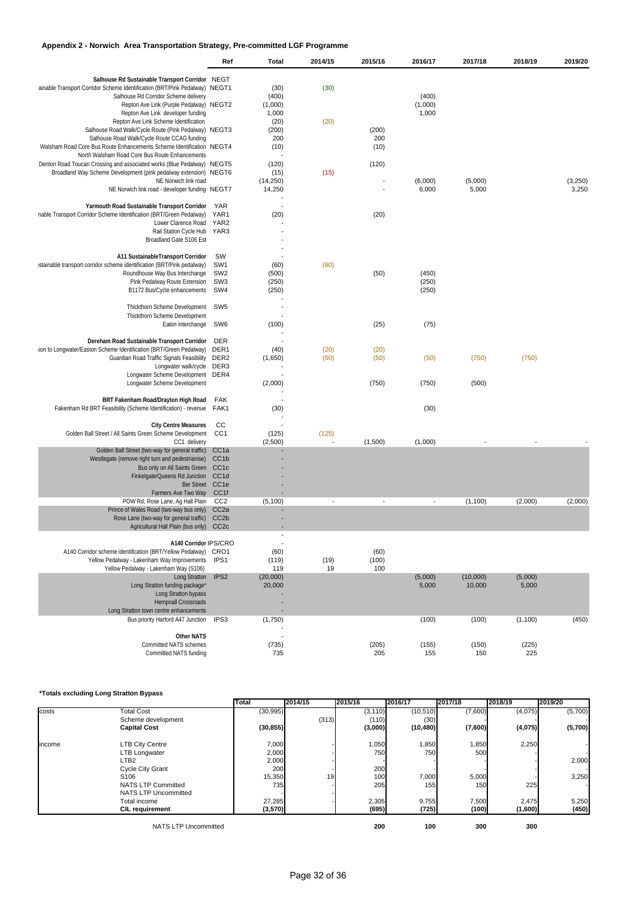# **Appendix 2 - Norwich Area Transportation Strategy, Pre-committed LGF Programme**

|                                                                                                                    | Ref                                  | Total                    | 2014/15 | 2015/16                  | 2016/17      | 2017/18      | 2018/19      | 2019/20 |
|--------------------------------------------------------------------------------------------------------------------|--------------------------------------|--------------------------|---------|--------------------------|--------------|--------------|--------------|---------|
| Salhouse Rd Sustainable Transport Corridor NEGT                                                                    |                                      |                          |         |                          |              |              |              |         |
| ainable Transport Corridor Scheme Identification (BRT/Pink Pedalway) NEGT1<br>Salhouse Rd Corridor Scheme delivery |                                      | (30)<br>(400)            | (30)    |                          | (400)        |              |              |         |
| Repton Ave Link (Purple Pedalway) NEGT2                                                                            |                                      | (1,000)                  |         |                          | (1,000)      |              |              |         |
| Repton Ave Link developer funding                                                                                  |                                      | 1,000                    |         |                          | 1,000        |              |              |         |
| Repton Ave Link Scheme Identification                                                                              |                                      | (20)                     | (20)    |                          |              |              |              |         |
| Salhouse Road Walk/Cycle Route (Pink Pedalway) NEGT3<br>Salhouse Road Walk/Cycle Route CCAG funding                |                                      | (200)<br>200             |         | (200)<br>200             |              |              |              |         |
| Walsham Road Core Bus Route Enhancements Scheme Identification NEGT4                                               |                                      | (10)                     |         | (10)                     |              |              |              |         |
| North Walsham Road Core Bus Route Enhancements                                                                     |                                      |                          |         |                          |              |              |              |         |
| Denton Road Toucan Crossing and associated works (Blue Pedalway) NEGT5                                             |                                      | (120)                    |         | (120)                    |              |              |              |         |
| Broadland Way Scheme Development (pink pedalway extension) NEGT6<br>NE Norwich link road                           |                                      | (15)<br>(14,250)         | (15)    |                          | (6,000)      | (5,000)      |              | (3,250) |
| NE Norwich link road - developer funding NEGT7                                                                     |                                      | 14,250                   |         |                          | 6,000        | 5,000        |              | 3,250   |
|                                                                                                                    |                                      |                          |         |                          |              |              |              |         |
| Yarmouth Road Sustainable Transport Corridor                                                                       | YAR<br>YAR1                          |                          |         |                          |              |              |              |         |
| nable Transport Corridor Scheme Identification (BRT/Green Pedalway)<br>Lower Clarence Road YAR2                    |                                      | (20)                     |         | (20)                     |              |              |              |         |
| Rail Station Cycle Hub YAR3                                                                                        |                                      |                          |         |                          |              |              |              |         |
| Broadland Gate S106 Est                                                                                            |                                      |                          |         |                          |              |              |              |         |
|                                                                                                                    |                                      |                          |         |                          |              |              |              |         |
| A11 SustainableTransport Corridor                                                                                  | <b>SW</b><br>SW <sub>1</sub>         |                          |         |                          |              |              |              |         |
| istainable transport corridor scheme identification (BRT/Pink pedalway)<br>Roundhouse Way Bus Interchange          | SW <sub>2</sub>                      | (60)<br>(500)            | (60)    | (50)                     | (450)        |              |              |         |
| Pink Pedalway Route Extension                                                                                      | SW <sub>3</sub>                      | (250)                    |         |                          | (250)        |              |              |         |
| B1172 Bus/Cycle enhancements                                                                                       | SW4                                  | (250)                    |         |                          | (250)        |              |              |         |
|                                                                                                                    |                                      | ÷                        |         |                          |              |              |              |         |
| Thickthorn Scheme Development                                                                                      | SW <sub>5</sub>                      |                          |         |                          |              |              |              |         |
| Thickthorn Scheme Development<br>Eaton interchange                                                                 | SW <sub>6</sub>                      | (100)                    |         | (25)                     | (75)         |              |              |         |
|                                                                                                                    |                                      |                          |         |                          |              |              |              |         |
| Dereham Road Sustainable Transport Corridor                                                                        | <b>DER</b>                           |                          |         |                          |              |              |              |         |
| ion to Longwater/Easton Scheme Identification (BRT/Green Pedalway)                                                 | DER1                                 | (40)                     | (20)    | (20)                     |              |              |              |         |
| Guardian Road Traffic Signals Feasibility                                                                          | DER2                                 | (1,650)                  | (50)    | (50)                     | (50)         | (750)        | (750)        |         |
| Longwater walk/cycle DER3<br>Longwater Scheme Development                                                          | DER4                                 |                          |         |                          |              |              |              |         |
| Longwater Scheme Development                                                                                       |                                      | (2,000)                  |         | (750)                    | (750)        | (500)        |              |         |
|                                                                                                                    |                                      |                          |         |                          |              |              |              |         |
| BRT Fakenham Road/Drayton High Road                                                                                | FAK                                  | $\overline{\phantom{a}}$ |         |                          |              |              |              |         |
| Fakenham Rd BRT Feasibility (Scheme Identification) - revenue                                                      | FAK1                                 | (30)                     |         |                          | (30)         |              |              |         |
| <b>City Centre Measures</b>                                                                                        | cc                                   |                          |         |                          |              |              |              |         |
| Golden Ball Street / All Saints Green Scheme Development                                                           | CC <sub>1</sub>                      | (125)                    | (125)   |                          |              |              |              |         |
| CC1 delivery                                                                                                       |                                      | (2,500)                  |         | (1,500)                  | (1,000)      |              |              |         |
| Golden Ball Street (two-way for general traffic)                                                                   | CC <sub>1a</sub>                     |                          |         |                          |              |              |              |         |
| Westlegate (remove right turn and pedestrianise)<br>Bus only on All Saints Green                                   | CC <sub>1b</sub><br>CC <sub>1c</sub> |                          |         |                          |              |              |              |         |
| Finkelgate/Queens Rd Junction                                                                                      | CC1d                                 |                          |         |                          |              |              |              |         |
| Ber Street CC1e                                                                                                    |                                      |                          |         |                          |              |              |              |         |
| Farmers Ave Two Way                                                                                                | CC1f                                 |                          |         |                          |              |              |              |         |
| POW Rd, Rose Lane, Ag Hall Plain<br>Prince of Wales Road (two-way bus only)                                        | CC2<br>CC <sub>2a</sub>              | (5, 100)                 |         | $\overline{\phantom{a}}$ |              | (1,100)      | (2,000)      | (2,000) |
| Rose Lane (two-way for general traffic)                                                                            | CC <sub>2</sub> b                    |                          |         |                          |              |              |              |         |
| Agricultural Hall Plain (bus only)                                                                                 | CC <sub>2c</sub>                     |                          |         |                          |              |              |              |         |
|                                                                                                                    |                                      |                          |         |                          |              |              |              |         |
| A140 Corridor IPS/CRO                                                                                              |                                      |                          |         |                          |              |              |              |         |
| A140 Corridor scheme identification (BRT/Yellow Pedalway) CRO1<br>Yellow Pedalway - Lakenham Way Improvements      | IPS <sub>1</sub>                     | (60)<br>(119)            | (19)    | (60)<br>(100)            |              |              |              |         |
| Yellow Pedalway - Lakenham Way (S106)                                                                              |                                      | 119                      | 19      | 100                      |              |              |              |         |
| Long Stratton                                                                                                      | IPS <sub>2</sub>                     | (20,000)                 |         |                          | (5,000)      | (10,000)     | (5,000)      |         |
| Long Stratton funding package*                                                                                     |                                      | 20,000                   |         |                          | 5,000        | 10,000       | 5,000        |         |
| Long Stratton bypass                                                                                               |                                      |                          |         |                          |              |              |              |         |
| <b>Hempnall Crossroads</b><br>Long Stratton town centre enhancements                                               |                                      |                          |         |                          |              |              |              |         |
| Bus priority Harford A47 Junction                                                                                  | IPS3                                 | (1,750)                  |         |                          | (100)        | (100)        | (1, 100)     | (450)   |
|                                                                                                                    |                                      |                          |         |                          |              |              |              |         |
| <b>Other NATS</b>                                                                                                  |                                      |                          |         |                          |              |              |              |         |
| <b>Committed NATS schemes</b><br>Committed NATS funding                                                            |                                      | (735)<br>735             |         | (205)<br>205             | (155)<br>155 | (150)<br>150 | (225)<br>225 |         |
|                                                                                                                    |                                      |                          |         |                          |              |              |              |         |

#### **\*Totals excluding Long Stratton Bypass**

|        |                             | <b>Total</b> | 2014/15 | 2015/16          | 2016/17    | 2017/18 | 2018/19 | 2019/20 |
|--------|-----------------------------|--------------|---------|------------------|------------|---------|---------|---------|
| costs  | <b>Total Cost</b>           | (30, 995)    |         | (3, 110)         | (10, 510)  | (7,600) | (4,075) | (5,700) |
|        | Scheme development          |              | (313)   | (110)            | (30)       |         |         |         |
|        | <b>Capital Cost</b>         | (30, 855)    |         | (3,000)          | (10, 480)  | (7,600) | (4,075) | (5,700) |
| income | <b>LTB City Centre</b>      | 7,000        |         | 1,050            | 1,850      | 1,850   | 2,250   |         |
|        | <b>LTB Longwater</b>        | 2,000        |         | 750              | <b>750</b> | 500     |         |         |
|        | LTB <sub>2</sub>            | 2,000        |         |                  |            |         |         | 2,000   |
|        | <b>Cycle City Grant</b>     | 200          |         | 200              |            |         |         |         |
|        | S <sub>106</sub>            | 15,350       | 19      | 100 <sup>1</sup> | 7,000      | 5,000   |         | 3,250   |
|        | <b>NATS LTP Committed</b>   | 735          |         | 205              | 155        | 150     | 225     |         |
|        | <b>NATS LTP Uncommitted</b> |              |         |                  |            |         |         |         |
|        | Total income                | 27,285       |         | 2,305            | 9,755      | 7,500   | 2,475   | 5,250   |
|        | <b>CIL requirement</b>      | (3,570)      |         | (695)            | (725)      | (100)   | (1,600) | (450)   |
|        | <b>NATS LTP Uncommitted</b> |              |         | 200              | 100        | 300     | 300     |         |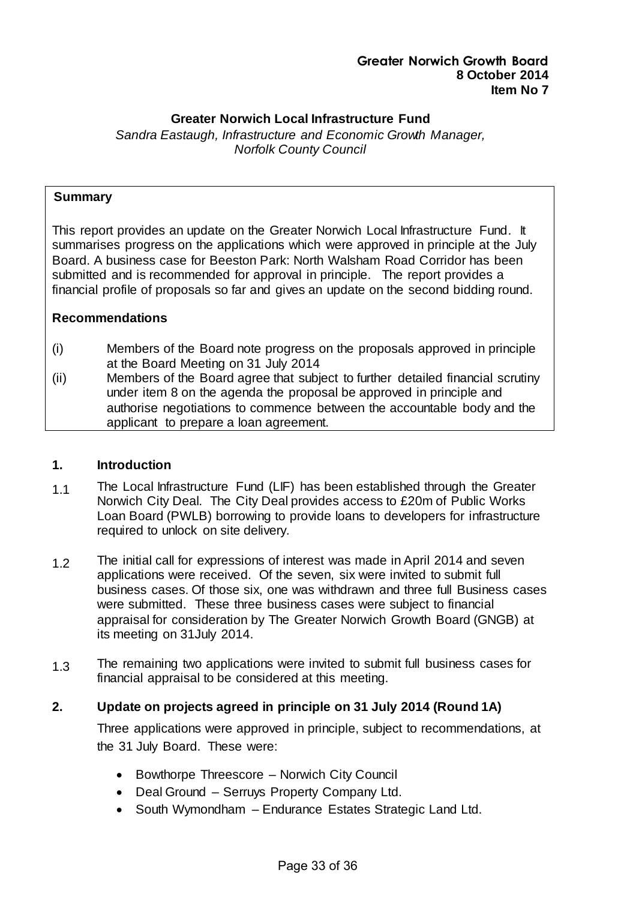## **Greater Norwich Local Infrastructure Fund**

*Sandra Eastaugh, Infrastructure and Economic Growth Manager, Norfolk County Council*

#### **Summary**

This report provides an update on the Greater Norwich Local Infrastructure Fund. It summarises progress on the applications which were approved in principle at the July Board. A business case for Beeston Park: North Walsham Road Corridor has been submitted and is recommended for approval in principle. The report provides a financial profile of proposals so far and gives an update on the second bidding round.

#### **Recommendations**

- (i) Members of the Board note progress on the proposals approved in principle at the Board Meeting on 31 July 2014
- (ii) Members of the Board agree that subject to further detailed financial scrutiny under item 8 on the agenda the proposal be approved in principle and authorise negotiations to commence between the accountable body and the applicant to prepare a loan agreement.

#### **1. Introduction**

- 1.1 The Local Infrastructure Fund (LIF) has been established through the Greater Norwich City Deal. The City Deal provides access to £20m of Public Works Loan Board (PWLB) borrowing to provide loans to developers for infrastructure required to unlock on site delivery.
- 1.2 The initial call for expressions of interest was made in April 2014 and seven applications were received. Of the seven, six were invited to submit full business cases. Of those six, one was withdrawn and three full Business cases were submitted. These three business cases were subject to financial appraisal for consideration by The Greater Norwich Growth Board (GNGB) at its meeting on 31July 2014.
- 1.3 The remaining two applications were invited to submit full business cases for financial appraisal to be considered at this meeting.

#### **2. Update on projects agreed in principle on 31 July 2014 (Round 1A)**

Three applications were approved in principle, subject to recommendations, at the 31 July Board. These were:

- Bowthorpe Threescore Norwich City Council
- Deal Ground Serruys Property Company Ltd.
- South Wymondham Endurance Estates Strategic Land Ltd.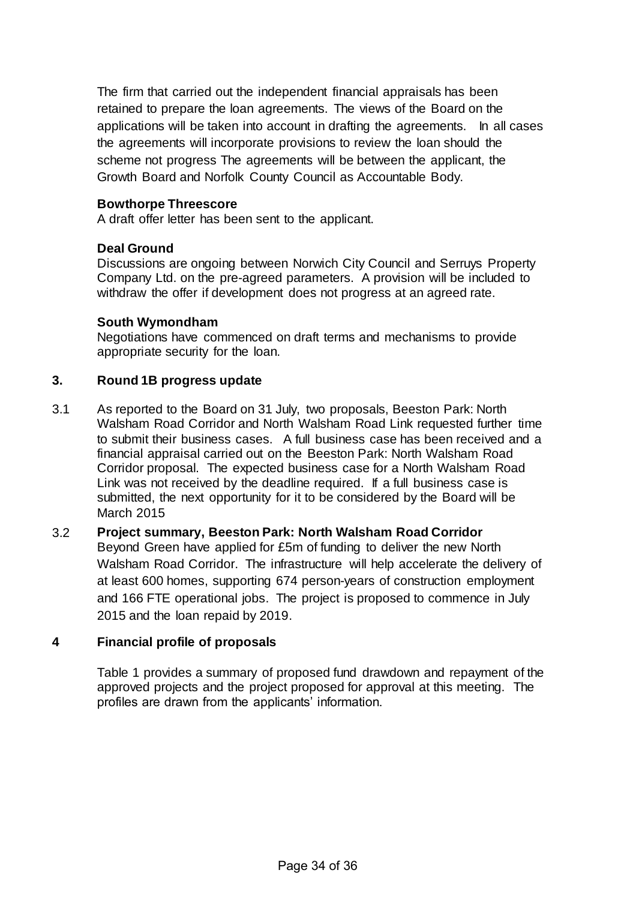The firm that carried out the independent financial appraisals has been retained to prepare the loan agreements. The views of the Board on the applications will be taken into account in drafting the agreements. In all cases the agreements will incorporate provisions to review the loan should the scheme not progress The agreements will be between the applicant, the Growth Board and Norfolk County Council as Accountable Body.

#### **Bowthorpe Threescore**

A draft offer letter has been sent to the applicant.

#### **Deal Ground**

Discussions are ongoing between Norwich City Council and Serruys Property Company Ltd. on the pre-agreed parameters. A provision will be included to withdraw the offer if development does not progress at an agreed rate.

#### **South Wymondham**

Negotiations have commenced on draft terms and mechanisms to provide appropriate security for the loan.

## **3. Round 1B progress update**

3.1 As reported to the Board on 31 July, two proposals, Beeston Park: North Walsham Road Corridor and North Walsham Road Link requested further time to submit their business cases. A full business case has been received and a financial appraisal carried out on the Beeston Park: North Walsham Road Corridor proposal. The expected business case for a North Walsham Road Link was not received by the deadline required. If a full business case is submitted, the next opportunity for it to be considered by the Board will be March 2015

# 3.2 **Project summary, Beeston Park: North Walsham Road Corridor**  Beyond Green have applied for £5m of funding to deliver the new North Walsham Road Corridor. The infrastructure will help accelerate the delivery of at least 600 homes, supporting 674 person-years of construction employment and 166 FTE operational jobs. The project is proposed to commence in July 2015 and the loan repaid by 2019.

#### **4 Financial profile of proposals**

Table 1 provides a summary of proposed fund drawdown and repayment of the approved projects and the project proposed for approval at this meeting. The profiles are drawn from the applicants' information.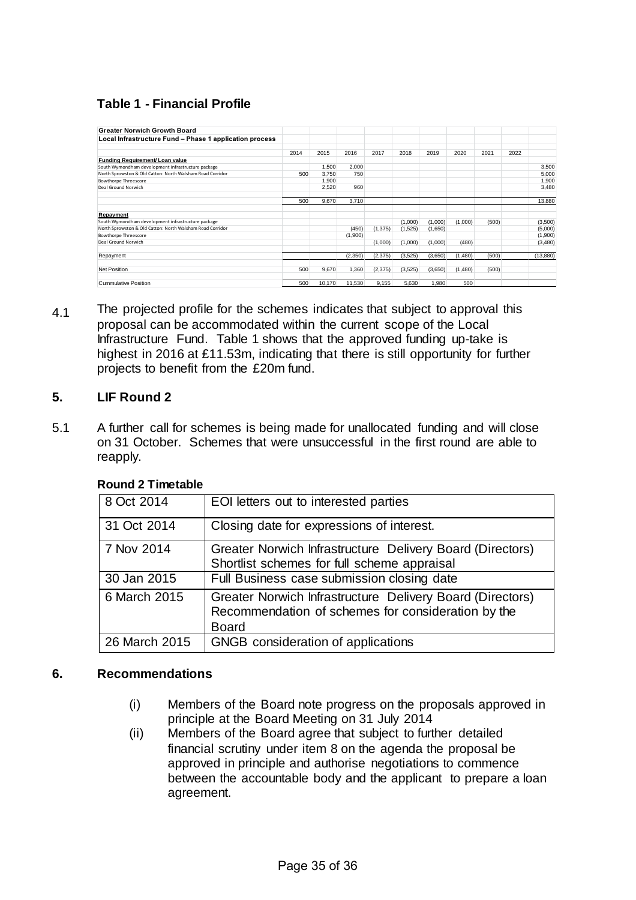# **Table 1 - Financial Profile**

| <b>Greater Norwich Growth Board</b>                       |      |        |         |          |         |         |         |       |      |          |
|-----------------------------------------------------------|------|--------|---------|----------|---------|---------|---------|-------|------|----------|
| Local Infrastructure Fund - Phase 1 application process   |      |        |         |          |         |         |         |       |      |          |
|                                                           | 2014 | 2015   | 2016    | 2017     | 2018    | 2019    | 2020    | 2021  | 2022 |          |
| Funding Requirement/ Loan value                           |      |        |         |          |         |         |         |       |      |          |
| South Wymondham development infrastructure package        |      | 1,500  | 2.000   |          |         |         |         |       |      | 3,500    |
| North Sprowston & Old Catton: North Walsham Road Corridor | 500  | 3.750  | 750     |          |         |         |         |       |      | 5,000    |
| <b>Bowthorpe Threescore</b>                               |      | 1,900  |         |          |         |         |         |       |      | 1,900    |
| Deal Ground Norwich                                       |      | 2,520  | 960     |          |         |         |         |       |      | 3,480    |
|                                                           | 500  | 9.670  | 3.710   |          |         |         |         |       |      | 13,880   |
| Repayment                                                 |      |        |         |          |         |         |         |       |      |          |
| South Wymondham development infrastructure package        |      |        |         |          | (1,000) | (1,000) | (1,000) | (500) |      | (3,500)  |
| North Sprowston & Old Catton: North Walsham Road Corridor |      |        | (450)   | (1, 375) | (1,525) | (1,650) |         |       |      | (5,000)  |
| <b>Bowthorpe Threescore</b>                               |      |        | (1,900) |          |         |         |         |       |      | (1,900)  |
| Deal Ground Norwich                                       |      |        |         | (1,000)  | (1,000) | (1,000) | (480)   |       |      | (3,480)  |
| Repayment                                                 |      |        | (2.350) | (2,375)  | (3,525) | (3,650) | (1.480) | (500) |      | (13,880) |
| <b>Net Position</b>                                       | 500  | 9,670  | 1.360   | (2,375)  | (3,525) | (3,650) | (1.480) | (500) |      |          |
| <b>Cummulative Position</b>                               | 500  | 10,170 | 11,530  | 9.155    | 5.630   | 1.980   | 500     |       |      |          |

4.1 The projected profile for the schemes indicates that subject to approval this proposal can be accommodated within the current scope of the Local Infrastructure Fund. Table 1 shows that the approved funding up-take is highest in 2016 at £11.53m, indicating that there is still opportunity for further projects to benefit from the £20m fund.

## **5. LIF Round 2**

5.1 A further call for schemes is being made for unallocated funding and will close on 31 October. Schemes that were unsuccessful in the first round are able to reapply.

| 8 Oct 2014    | EOI letters out to interested parties                                                                                           |
|---------------|---------------------------------------------------------------------------------------------------------------------------------|
| 31 Oct 2014   | Closing date for expressions of interest.                                                                                       |
| 7 Nov 2014    | Greater Norwich Infrastructure Delivery Board (Directors)<br>Shortlist schemes for full scheme appraisal                        |
| 30 Jan 2015   | Full Business case submission closing date                                                                                      |
| 6 March 2015  | Greater Norwich Infrastructure Delivery Board (Directors)<br>Recommendation of schemes for consideration by the<br><b>Board</b> |
| 26 March 2015 | GNGB consideration of applications                                                                                              |

#### **Round 2 Timetable**

#### **6. Recommendations**

- (i) Members of the Board note progress on the proposals approved in principle at the Board Meeting on 31 July 2014
- (ii) Members of the Board agree that subject to further detailed financial scrutiny under item 8 on the agenda the proposal be approved in principle and authorise negotiations to commence between the accountable body and the applicant to prepare a loan agreement.